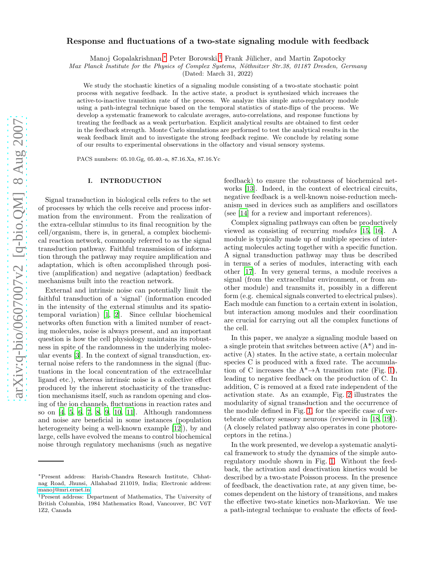# Response and fluctuations of a two-state signaling module with feedback

Manoj Gopalakrishnan,<sup>[∗](#page-0-0)</sup> Peter Borowski,<sup>[†](#page-0-1)</sup> Frank Jülicher, and Martin Zapotocky

Max Planck Institute for the Physics of Complex Systems, Nöthnitzer Str.38, 01187 Dresden, Germany

(Dated: March 31, 2022)

We study the stochastic kinetics of a signaling module consisting of a two-state stochastic point process with negative feedback. In the active state, a product is synthesized which increases the active-to-inactive transition rate of the process. We analyze this simple auto-regulatory module using a path-integral technique based on the temporal statistics of state-flips of the process. We develop a systematic framework to calculate averages, auto-correlations, and response functions by treating the feedback as a weak perturbation. Explicit analytical results are obtained to first order in the feedback strength. Monte Carlo simulations are performed to test the analytical results in the weak feedback limit and to investigate the strong feedback regime. We conclude by relating some of our results to experimental observations in the olfactory and visual sensory systems.

PACS numbers: 05.10.Gg, 05.40.-a, 87.16.Xa, 87.16.Yc

### I. INTRODUCTION

Signal transduction in biological cells refers to the set of processes by which the cells receive and process information from the environment. From the realization of the extra-cellular stimulus to its final recognition by the cell/organism, there is, in general, a complex biochemical reaction network, commonly referred to as the signal transduction pathway. Faithful transmission of information through the pathway may require amplification and adaptation, which is often accomplished through positive (amplification) and negative (adaptation) feedback mechanisms built into the reaction network.

External and intrinsic noise can potentially limit the faithful transduction of a 'signal' (information encoded in the intensity of the external stimulus and its spatiotemporal variation) [\[1,](#page-13-0) [2](#page-13-1)]. Since cellular biochemical networks often function with a limited number of reacting molecules, noise is always present, and an important question is how the cell physiology maintains its robustness in spite of the randomness in the underlying molecular events [\[3\]](#page-13-2). In the context of signal transduction, external noise refers to the randomness in the signal (fluctuations in the local concentration of the extracellular ligand etc.), whereas intrinsic noise is a collective effect produced by the inherent stochasticity of the transduction mechanisms itself, such as random opening and closing of the ion channels, fluctuations in reaction rates and so on [\[4](#page-13-3), [5](#page-13-4), [6,](#page-13-5) [7](#page-13-6), [8,](#page-13-7) [9,](#page-13-8) [10](#page-13-9), [11\]](#page-13-10). Although randomness and noise are beneficial in some instances (population heterogeneity being a well-known example [\[12\]](#page-13-11)), by and large, cells have evolved the means to control biochemical noise through regulatory mechanisms (such as negative

feedback) to ensure the robustness of biochemical networks [\[13\]](#page-13-12). Indeed, in the context of electrical circuits, negative feedback is a well-known noise-reduction mechanism used in devices such as amplifiers and oscillators (see [\[14\]](#page-13-13) for a review and important references).

Complex signaling pathways can often be productively viewed as consisting of recurring modules [\[15,](#page-13-14) [16\]](#page-13-15). A module is typically made up of multiple species of interacting molecules acting together with a specific function. A signal transduction pathway may thus be described in terms of a series of modules, interacting with each other [\[17\]](#page-13-16). In very general terms, a module receives a signal (from the extracellular environment, or from another module) and transmits it, possibly in a different form (e.g. chemical signals converted to electrical pulses). Each module can function to a certain extent in isolation, but interaction among modules and their coordination are crucial for carrying out all the complex functions of the cell.

In this paper, we analyze a signaling module based on a single protein that switches between active  $(A^*)$  and inactive (A) states. In the active state, a certain molecular species C is produced with a fixed rate. The accumulation of C increases the  $A^*{\rightarrow}A$  transition rate (Fig. [1\)](#page-1-0), leading to negative feedback on the production of C. In addition, C is removed at a fixed rate independent of the activation state. As an example, Fig. [2](#page-1-1) illustrates the modularity of signal transduction and the occurrence of the module defined in Fig. [1,](#page-1-0) for the specific case of vertebrate olfactory sensory neurons (reviewed in [\[18](#page-13-17), [19\]](#page-13-18)). (A closely related pathway also operates in cone photoreceptors in the retina.)

In the work presented, we develop a systematic analytical framework to study the dynamics of the simple autoregulatory module shown in Fig. [1.](#page-1-0) Without the feedback, the activation and deactivation kinetics would be described by a two-state Poisson process. In the presence of feedback, the deactivation rate, at any given time, becomes dependent on the history of transitions, and makes the effective two-state kinetics non-Markovian. We use a path-integral technique to evaluate the effects of feed-

<span id="page-0-0"></span><sup>∗</sup>Present address: Harish-Chandra Research Institute, Chhatnag Road, Jhunsi, Allahabad 211019, India; Electronic address: [manoj@mri.ernet.in](mailto:manoj@mri.ernet.in)

<span id="page-0-1"></span><sup>†</sup>Present address: Department of Mathematics, The University of British Columbia, 1984 Mathematics Road, Vancouver, BC V6T 1Z2, Canada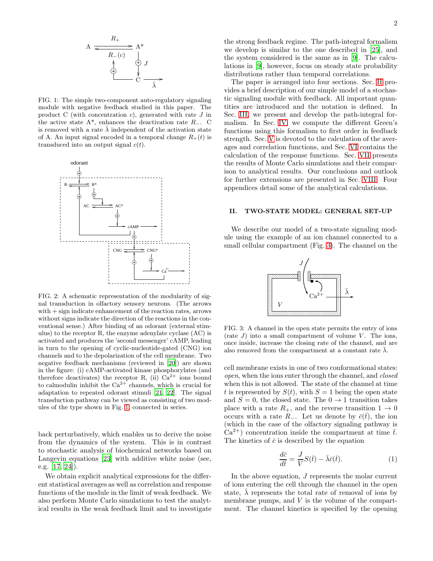

<span id="page-1-0"></span>FIG. 1: The simple two-component auto-regulatory signaling module with negative feedback studied in this paper. The product C (with concentration  $c$ ), generated with rate  $J$  in the active state  $A^*$ , enhances the deactivation rate  $R_-.$  C is removed with a rate  $\bar{\lambda}$  independent of the activation state of A. An input signal encoded in a temporal change  $R_+(t)$  is transduced into an output signal  $c(t)$ .



<span id="page-1-1"></span>FIG. 2: A schematic representation of the modularity of signal transduction in olfactory sensory neurons. (The arrows with + sign indicate enhancement of the reaction rates, arrows without signs indicate the direction of the reactions in the conventional sense.) After binding of an odorant (external stimulus) to the receptor R, the enzyme adenylate cyclase (AC) is activated and produces the 'second messenger' cAMP, leading in turn to the opening of cyclic-nucleotide-gated (CNG) ion channels and to the depolarization of the cell membrane. Two negative feedback mechanisms (reviewed in [\[20\]](#page-13-19)) are shown in the figure: (i) cAMP-activated kinase phosphorylates (and therefore deactivates) the receptor R, (ii)  $Ca^{2+}$  ions bound to calmodulin inhibit the  $Ca^{2+}$  channels, which is crucial for adaptation to repeated odorant stimuli [\[21](#page-13-20), [22](#page-13-21)]. The signal transduction pathway can be viewed as consisting of two modules of the type shown in Fig. [1,](#page-1-0) connected in series.

back perturbatively, which enables us to derive the noise from the dynamics of the system. This is in contrast to stochastic analysis of biochemical networks based on Langevin equations [\[23](#page-13-22)] with additive white noise (see, e.g. [\[17,](#page-13-16) [24](#page-13-23)]).

We obtain explicit analytical expressions for the different statistical averages as well as correlation and response functions of the module in the limit of weak feedback. We also perform Monte Carlo simulations to test the analytical results in the weak feedback limit and to investigate

the strong feedback regime. The path-integral formalism we develop is similar to the one described in [\[25\]](#page-13-24), and the system considered is the same as in [\[9\]](#page-13-8). The calculations in [\[9\]](#page-13-8), however, focus on steady state probability distributions rather than temporal correlations.

The paper is arranged into four sections. Sec. [II](#page-1-2) provides a brief description of our simple model of a stochastic signaling module with feedback. All important quantities are introduced and the notation is defined. In Sec. [III,](#page-3-0) we present and develop the path-integral formalism. In Sec. [IV,](#page-4-0) we compute the different Green's functions using this formalism to first order in feedback strength. Sec. [V](#page-6-0) is devoted to the calculation of the averages and correlation functions, and Sec. [VI](#page-7-0) contains the calculation of the response functions. Sec. [VII](#page-8-0) presents the results of Monte Carlo simulations and their comparison to analytical results. Our conclusions and outlook for further extensions are presented in Sec. [VIII.](#page-12-0) Four appendices detail some of the analytical calculations.

# <span id="page-1-2"></span>II. TWO-STATE MODEL: GENERAL SET-UP

We describe our model of a two-state signaling module using the example of an ion channel connected to a small cellular compartment (Fig. [3\)](#page-1-3). The channel on the



<span id="page-1-3"></span>FIG. 3: A channel in the open state permits the entry of ions (rate  $J$ ) into a small compartment of volume  $V$ . The ions, once inside, increase the closing rate of the channel, and are also removed from the compartment at a constant rate  $\lambda$ .

cell membrane exists in one of two conformational states: open, when the ions enter through the channel, and closed when this is not allowed. The state of the channel at time t is represented by  $S(t)$ , with  $S = 1$  being the open state and  $S = 0$ , the closed state. The  $0 \rightarrow 1$  transition takes place with a rate  $R_+$ , and the reverse transition  $1 \rightarrow 0$ occurs with a rate  $R_$ . Let us denote by  $\bar{c}(\bar{t})$ , the ion (which in the case of the olfactory signaling pathway is  $Ca^{2+}$ ) concentration inside the compartment at time  $\bar{t}$ . The kinetics of  $\bar{c}$  is described by the equation

<span id="page-1-4"></span>
$$
\frac{d\bar{c}}{d\bar{t}} = \frac{J}{V}S(\bar{t}) - \bar{\lambda}\bar{c}(\bar{t}).
$$
\n(1)

In the above equation, J represents the molar current of ions entering the cell through the channel in the open state,  $\lambda$  represents the total rate of removal of ions by membrane pumps, and  $V$  is the volume of the compartment. The channel kinetics is specified by the opening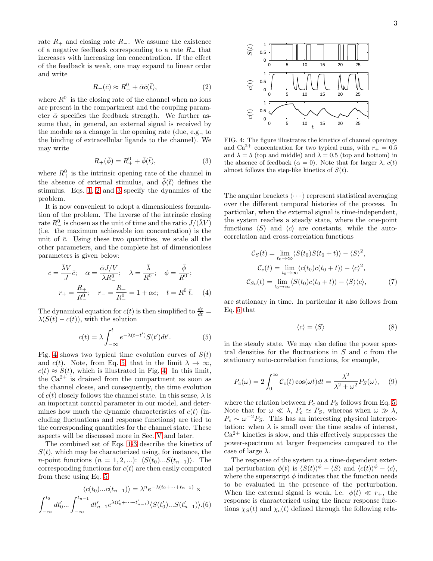rate  $R_+$  and closing rate  $R_-.$  We assume the existence of a negative feedback corresponding to a rate  $R_$  that increases with increasing ion concentration. If the effect of the feedback is weak, one may expand to linear order and write

<span id="page-2-0"></span>
$$
R_{-}(\bar{c}) \approx R_{-}^{0} + \bar{\alpha}\bar{c}(\bar{t}), \tag{2}
$$

where  $R_{-}^{0}$  is the closing rate of the channel when  $\overline{no}$  ions are present in the compartment and the coupling parameter  $\bar{\alpha}$  specifies the feedback strength. We further assume that, in general, an external signal is received by the module as a change in the opening rate (due, e.g., to the binding of extracellular ligands to the channel). We may write

<span id="page-2-1"></span>
$$
R_{+}(\bar{\phi}) = R_{+}^{0} + \bar{\phi}(\bar{t}), \tag{3}
$$

where  $R_+^0$  is the intrinsic opening rate of the channel in the absence of external stimulus, and  $\bar{\phi}(\bar{t})$  defines the stimulus. Eqs. [1,](#page-1-4) [2](#page-2-0) and [3](#page-2-1) specify the dynamics of the problem.

It is now convenient to adopt a dimensionless formulation of the problem. The inverse of the intrinsic closing rate  $R_-^0$  is chosen as the unit of time and the ratio  $J/(\bar \lambda V)$ (i.e. the maximum achievable ion concentration) is the unit of  $\bar{c}$ . Using these two quantities, we scale all the other parameters, and the complete list of dimensionless parameters is given below:

$$
c = \frac{\bar{\lambda}V}{J}\bar{c}; \quad \alpha = \frac{\bar{\alpha}J/V}{\bar{\lambda}R_{-}^{0}}; \quad \lambda = \frac{\bar{\lambda}}{R_{-}^{0}}; \quad \phi = \frac{\bar{\phi}}{R_{-}^{0}};
$$

$$
r_{+} = \frac{R_{+}}{R_{-}^{0}}; \quad r_{-} = \frac{R_{-}}{R_{-}^{0}} = 1 + \alpha c; \quad t = R_{-}^{0}\bar{t}.
$$
 (4)

The dynamical equation for  $c(t)$  is then simplified to  $\frac{dc}{dt} =$  $\lambda(S(t) - c(t))$ , with the solution

<span id="page-2-3"></span>
$$
c(t) = \lambda \int_{-\infty}^{t} e^{-\lambda(t - t')} S(t') dt'. \tag{5}
$$

Fig. [4](#page-2-2) shows two typical time evolution curves of  $S(t)$ and c(t). Note, from Eq. [5,](#page-2-3) that in the limit  $\lambda \to \infty$ ,  $c(t) \approx S(t)$ , which is illustrated in Fig. [4.](#page-2-2) In this limit, the  $Ca^{2+}$  is drained from the compartment as soon as the channel closes, and consequently, the time evolution of  $c(t)$  closely follows the channel state. In this sense,  $\lambda$  is an important control parameter in our model, and determines how much the dynamic characteristics of  $c(t)$  (including fluctuations and response functions) are tied to the corresponding quantities for the channel state. These aspects will be discussed more in Sec. [V](#page-6-0) and later.

The combined set of Eqs. [1](#page-1-4)[-3](#page-2-1) describe the kinetics of  $S(t)$ , which may be characterized using, for instance, the *n*-point functions  $(n = 1, 2, ...)$ :  $\langle S(t_0)...S(t_{n-1})\rangle$ . The corresponding functions for  $c(t)$  are then easily computed from these using Eq. [5:](#page-2-3)

<span id="page-2-5"></span>
$$
\langle c(t_0)...c(t_{n-1})\rangle = \lambda^n e^{-\lambda(t_0+\cdots+t_{n-1})} \times
$$

$$
\int_{-\infty}^{t_0} dt'_0 ... \int_{-\infty}^{t_{n-1}} dt'_{n-1} e^{\lambda(t'_0+\cdots+t'_{n-1})} \langle S(t'_0)...S(t'_{n-1})\rangle.(6)
$$



<span id="page-2-2"></span>FIG. 4: The figure illustrates the kinetics of channel openings and Ca<sup>2+</sup> concentration for two typical runs, with  $r_{+} = 0.5$ and  $\lambda = 5$  (top and middle) and  $\lambda = 0.5$  (top and bottom) in the absence of feedback  $(\alpha = 0)$ . Note that for larger  $\lambda$ ,  $c(t)$ almost follows the step-like kinetics of  $S(t)$ .

The angular brackets  $\langle \cdots \rangle$  represent statistical averaging over the different temporal histories of the process. In particular, when the external signal is time-independent, the system reaches a steady state, where the one-point functions  $\langle S \rangle$  and  $\langle c \rangle$  are constants, while the autocorrelation and cross-correlation functions

<span id="page-2-4"></span>
$$
\mathcal{C}_S(t) = \lim_{t_0 \to \infty} \langle S(t_0)S(t_0 + t) \rangle - \langle S \rangle^2,
$$
  
\n
$$
\mathcal{C}_c(t) = \lim_{t_0 \to \infty} \langle c(t_0)c(t_0 + t) \rangle - \langle c \rangle^2,
$$
  
\n
$$
\mathcal{C}_{Sc}(t) = \lim_{t_0 \to \infty} \langle S(t_0)c(t_0 + t) \rangle - \langle S \rangle \langle c \rangle,
$$
 (7)

are stationary in time. In particular it also follows from Eq. [5](#page-2-3) that

$$
\langle c \rangle = \langle S \rangle \tag{8}
$$

in the steady state. We may also define the power spectral densities for the fluctuations in  $S$  and  $c$  from the stationary auto-correlation functions, for example,

<span id="page-2-6"></span>
$$
P_c(\omega) = 2 \int_0^\infty C_c(t) \cos(\omega t) dt = \frac{\lambda^2}{\lambda^2 + \omega^2} P_S(\omega), \quad (9)
$$

where the relation between  $P_c$  and  $P<sub>S</sub>$  follows from Eq. [5.](#page-2-3) Note that for  $\omega \ll \lambda$ ,  $P_c \simeq P_S$ , whereas when  $\omega \gg \lambda$ ,  $P_c \sim \omega^{-2} P_S$ . This has an interesting physical interpretation: when  $\lambda$  is small over the time scales of interest,  $Ca^{2+}$  kinetics is slow, and this effectively suppresses the power-spectrum at larger frequencies compared to the case of large  $\lambda$ .

The response of the system to a time-dependent external perturbation  $\phi(t)$  is  $\langle S(t) \rangle^{\phi} - \langle S \rangle$  and  $\langle c(t) \rangle^{\phi} - \langle c \rangle$ , where the superscript  $\phi$  indicates that the function needs to be evaluated in the presence of the perturbation. When the external signal is weak, i.e.  $\phi(t) \ll r_+$ , the response is characterized using the linear response functions  $\chi_S(t)$  and  $\chi_c(t)$  defined through the following rela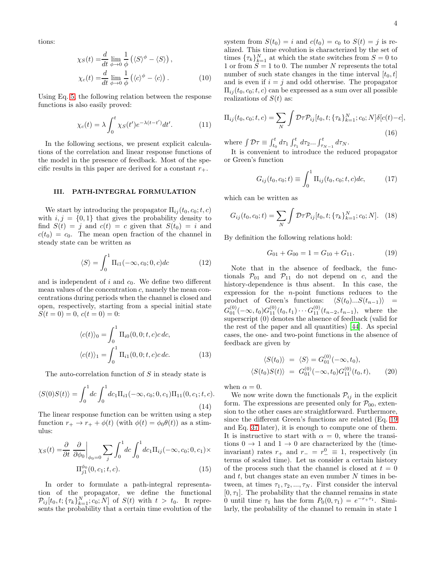tions:

$$
\chi_S(t) = \frac{d}{dt} \lim_{\phi \to 0} \frac{1}{\phi} \left( \langle S \rangle^{\phi} - \langle S \rangle \right),
$$
  

$$
\chi_c(t) = \frac{d}{dt} \lim_{\phi \to 0} \frac{1}{\phi} \left( \langle c \rangle^{\phi} - \langle c \rangle \right).
$$
 (10)

Using Eq. [5,](#page-2-3) the following relation between the response functions is also easily proved:

<span id="page-3-8"></span>
$$
\chi_c(t) = \lambda \int_0^t \chi_S(t') e^{-\lambda(t - t')} dt'. \tag{11}
$$

In the following sections, we present explicit calculations of the correlation and linear response functions of the model in the presence of feedback. Most of the specific results in this paper are derived for a constant  $r_{+}$ .

#### <span id="page-3-0"></span>III. PATH-INTEGRAL FORMULATION

We start by introducing the propagator  $\Pi_{ij}(t_0, c_0; t, c)$ with  $i, j = \{0, 1\}$  that gives the probability density to find  $S(t) = j$  and  $c(t) = c$  given that  $S(t_0) = i$  and  $c(t_0) = c_0$ . The mean open fraction of the channel in steady state can be written as

<span id="page-3-5"></span>
$$
\langle S \rangle = \int_0^1 \Pi_{i1}(-\infty, c_0; 0, c) dc \tag{12}
$$

and is independent of i and  $c_0$ . We define two different mean values of the concentration  $c$ , namely the mean concentrations during periods when the channel is closed and open, respectively, starting from a special initial state  $S(t = 0) = 0, c(t = 0) = 0:$ 

$$
\langle c(t) \rangle_0 = \int_0^1 \Pi_{i0}(0, 0; t, c)c \, dc,
$$
  

$$
\langle c(t) \rangle_1 = \int_0^1 \Pi_{i1}(0, 0; t, c)c \, dc.
$$
 (13)

The auto-correlation function of S in steady state is

<span id="page-3-4"></span>
$$
\langle S(0)S(t)\rangle = \int_0^1 dc \int_0^1 dc_1 \Pi_{i1}(-\infty, c_0; 0, c_1) \Pi_{11}(0, c_1; t, c).
$$
\n(14)

The linear response function can be written using a step function  $r_+ \to r_+ + \phi(t)$  (with  $\phi(t) = \phi_0 \theta(t)$ ) as a stimulus:

$$
\chi_S(t) = \frac{\partial}{\partial t} \left. \frac{\partial}{\partial \phi_0} \right|_{\phi_0 = 0} \sum_j \int_0^1 dc \int_0^1 dc_1 \Pi_{ij}(-\infty, c_0; 0, c_1) \times \Pi_{j1}^{\phi_0}(0, c_1; t, c).
$$
\n(15)

In order to formulate a path-integral representation of the propagator, we define the functional  $\mathcal{P}_{ij}[t_0, t; \{\tau_k\}_{k=1}^N; c_0; N]$  of  $S(t)$  with  $t > t_0$ . It represents the probability that a certain time evolution of the <span id="page-3-9"></span>system from  $S(t_0) = i$  and  $c(t_0) = c_0$  to  $S(t) = j$  is realized. This time evolution is characterized by the set of times  $\{\tau_k\}_{k=1}^N$  at which the state switches from  $S=0$  to 1 or from  $S = 1$  to 0. The number N represents the total number of such state changes in the time interval  $[t_0, t]$ and is even if  $i = j$  and odd otherwise. The propagator  $\Pi_{ij}(t_0, c_0; t, c)$  can be expressed as a sum over all possible realizations of  $S(t)$  as:

$$
\Pi_{ij}(t_0, c_0; t, c) = \sum_{N} \int \mathcal{D}\tau \mathcal{P}_{ij}[t_0, t; \{\tau_k\}_{k=1}^N; c_0; N] \delta[c(t) - c],
$$
\n(16)

where  $\int \mathcal{D}\tau \equiv \int_{t_0}^t d\tau_1 \int_{\tau_1}^t d\tau_2 ... \int_{\tau_{N-1}}^t d\tau_N$ .

It is convenient to introduce the reduced propagator or Green's function

<span id="page-3-3"></span>
$$
G_{ij}(t_0, c_0; t) \equiv \int_0^1 \Pi_{ij}(t_0, c_0; t, c) dc,
$$
 (17)

which can be written as

<span id="page-3-2"></span>
$$
G_{ij}(t_0, c_0; t) = \sum_{N} \int \mathcal{D}\tau \mathcal{P}_{ij}[t_0, t; \{\tau_k\}_{k=1}^{N}; c_0; N]. \quad (18)
$$

By definition the following relations hold:

<span id="page-3-1"></span>
$$
G_{01} + G_{00} = 1 = G_{10} + G_{11}.
$$
 (19)

Note that in the absence of feedback, the functionals  $\mathcal{P}_{01}$  and  $\mathcal{P}_{11}$  do not depend on c, and the history-dependence is thus absent. In this case, the expression for the n-point functions reduces to the product of Green's functions:  $\langle S(t_0)...S(t_{n-1})\rangle$  =  $G_{01}^{(0)}(-\infty,t_0)G_{11}^{(0)}(t_0,t_1)\cdots G_{11}^{(0)}(t_{n-2},t_{n-1}),$  where the superscript (0) denotes the absence of feedback (valid for the rest of the paper and all quantities) [\[44\]](#page-13-25). As special cases, the one- and two-point functions in the absence of feedback are given by

$$
\langle S(t_0) \rangle = \langle S \rangle = G_{01}^{(0)}(-\infty, t_0), \langle S(t_0)S(t) \rangle = G_{01}^{(0)}(-\infty, t_0)G_{11}^{(0)}(t_0, t),
$$
 (20)

<span id="page-3-6"></span>when  $\alpha = 0$ .

<span id="page-3-7"></span>We now write down the functionals  $\mathcal{P}_{ij}$  in the explicit form. The expressions are presented only for  $P_{00}$ , extension to the other cases are straightforward. Furthermore, since the different Green's functions are related (Eq. [19](#page-3-1) and Eq. [37](#page-5-0) later), it is enough to compute one of them. It is instructive to start with  $\alpha = 0$ , where the transitions  $0 \rightarrow 1$  and  $1 \rightarrow 0$  are characterized by the (timeinvariant) rates  $r_+$  and  $r_- = r_-^0 \equiv 1$ , respectively (in terms of scaled time). Let us consider a certain history of the process such that the channel is closed at  $t = 0$ and  $t$ , but changes state an even number  $N$  times in between, at times  $\tau_1, \tau_2, ..., \tau_N$ . First consider the interval  $[0, \tau_1]$ . The probability that the channel remains in state 0 until time  $\tau_1$  has the form  $P_0(0, \tau_1) = e^{-r_+ \tau_1}$ . Similarly, the probability of the channel to remain in state 1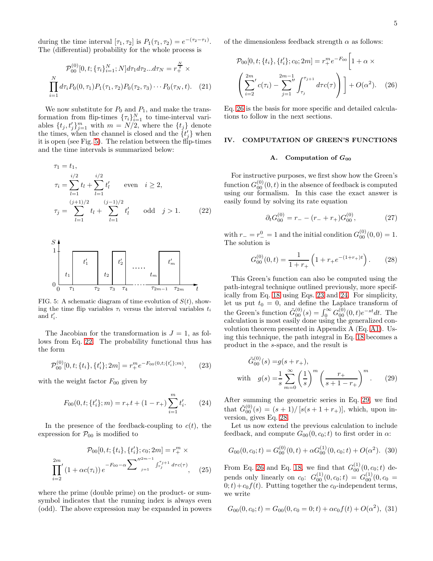during the time interval  $[\tau_1, \tau_2]$  is  $P_1(\tau_1, \tau_2) = e^{-(\tau_2 - \tau_1)}$ . The (differential) probability for the whole process is

$$
\mathcal{P}_{00}^{(0)}[0, t; \{\tau_i\}_{i=1}^N; N]d\tau_1 d\tau_2 ... d\tau_N = r_+^{\frac{N}{2}} \times \prod_{i=1}^N d\tau_i P_0(0, \tau_1) P_1(\tau_1, \tau_2) P_0(\tau_2, \tau_3) \cdots P_0(\tau_N, t). \tag{21}
$$

We now substitute for  $P_0$  and  $P_1$ , and make the transformation from flip-times  $\{\tau_i\}_{i=1}^N$  to time-interval variables  $\{t_j, t'_j\}_{j=1}^m$  with  $m = N/2$ , where the  $\{t_j\}$  denote the times, when the channel is closed and the  $\{t'_j\}$  when it is open (see Fig. [5\)](#page-4-1). The relation between the flip-times and the time intervals is summarized below:

# PSfrag replacements

$$
\tau_1 = t_1,
$$
\n
$$
\tau_i = \sum_{l=1}^{i/2} t_l + \sum_{l=1}^{i/2} t'_l \quad \text{even} \quad i \ge 2,
$$
\n
$$
\tau_j = \sum_{l=1}^{(j+1)/2} t_l + \sum_{l=1}^{(j-1)/2} t'_l \quad \text{odd} \quad j > 1.
$$
\n(22)



<span id="page-4-1"></span>FIG. 5: A schematic diagram of time evolution of  $S(t)$ , showing the time flip variables  $\tau_i$  versus the interval variables  $t_i$ and  $t_i'$ .

The Jacobian for the transformation is  $J = 1$ , as follows from Eq. [22.](#page-4-2) The probability functional thus has the form

<span id="page-4-4"></span>
$$
\mathcal{P}_{00}^{(0)}[0,t; \{t_i\}, \{t'_i\}; 2m] = r_+^m e^{-F_{00}(0,t; \{t'_i\}; m)}, \qquad (23)
$$

with the weight factor  $F_{00}$  given by

<span id="page-4-5"></span>
$$
F_{00}(0, t; \{t'_i\}; m) = r_+ t + (1 - r_+) \sum_{i=1}^m t'_i.
$$
 (24)

In the presence of the feedback-coupling to  $c(t)$ , the expression for  $\mathcal{P}_{00}$  is modified to

$$
\mathcal{P}_{00}[0, t; \{t_i\}, \{t'_i\}; c_0; 2m] = r_+^m \times
$$
  

$$
\prod_{i=2}^{2m} (1 + \alpha c(\tau_i)) e^{-F_{00} - \alpha \sum_{j=1}^{n/2m-1} \int_{\tau_j}^{\tau_{j+1}} dr c(\tau)}, \quad (25)
$$

where the prime (double prime) on the product- or sumsymbol indicates that the running index is always even (odd). The above expression may be expanded in powers of the dimensionless feedback strength  $\alpha$  as follows:

<span id="page-4-3"></span>
$$
\mathcal{P}_{00}[0, t; \{t_i\}, \{t'_i\}; c_0; 2m] = r_+^m e^{-F_{00}} \left[1 + \alpha \times \left(\sum_{i=2}^{2m} c(\tau_i) - \sum_{j=1}^{2m-1} \int_{\tau_j}^{\tau_{j+1}} d\tau c(\tau)\right)\right] + O(\alpha^2). \quad (26)
$$

Eq. [26](#page-4-3) is the basis for more specific and detailed calculations to follow in the next sections.

# <span id="page-4-0"></span>IV. COMPUTATION OF GREEN'S FUNCTIONS

#### A. Computation of  $G_{00}$

For instructive purposes, we first show how the Green's function  $G_{00}^{(0)}(0,t)$  in the absence of feedback is computed using our formalism. In this case the exact answer is easily found by solving its rate equation

<span id="page-4-8"></span>
$$
\partial_t G_{00}^{(0)} = r_- - (r_- + r_+) G_{00}^{(0)}, \tag{27}
$$

<span id="page-4-2"></span>with  $r_{-} = r_{-}^{0} = 1$  and the initial condition  $G_{00}^{(0)}(0,0) = 1$ . The solution is

<span id="page-4-7"></span>
$$
G_{00}^{(0)}(0,t) = \frac{1}{1+r_+} \left( 1 + r_+ e^{-(1+r_+)} \right). \tag{28}
$$

This Green's function can also be computed using the path-integral technique outlined previously, more specifically from Eq. [18](#page-3-2) using Eqs. [23](#page-4-4) and [24.](#page-4-5) For simplicity, let us put  $t_0 = 0$ , and define the Laplace transform of the Green's function  $\tilde{G}_{00}^{(0)}(s) = \int_0^\infty G_{00}^{(0)}(0, t)e^{-st}dt$ . The calculation is most easily done using the generalized convolution theorem presented in Appendix A (Eq. [A1\)](#page-14-0). Using this technique, the path integral in Eq. [18](#page-3-2) becomes a product in the s-space, and the result is

<span id="page-4-6"></span>
$$
\tilde{G}_{00}^{(0)}(s) = g(s+r_+),
$$
\nwith  $g(s) = \frac{1}{s} \sum_{m=0}^{\infty} \left(\frac{1}{s}\right)^m \left(\frac{r_+}{s+1-r_+}\right)^m.$  (29)

After summing the geometric series in Eq. [29,](#page-4-6) we find that  $\tilde{G}_{00}^{(0)}(s) = (s+1)/[s(s+1+r_+)],$  which, upon inversion, gives Eq. [28.](#page-4-7)

Let us now extend the previous calculation to include feedback, and compute  $G_{00}(0, c_0; t)$  to first order in  $\alpha$ :

$$
G_{00}(0, c_0; t) = G_{00}^{(0)}(0, t) + \alpha G_{00}^{(1)}(0, c_0; t) + O(\alpha^2). \tag{30}
$$

From Eq. [26](#page-4-3) and Eq. [18,](#page-3-2) we find that  $G_{00}^{(1)}(0, c_0; t)$  depends only linearly on  $c_0$ :  $G_{00}^{(1)}(0, c_0; t) = G_{00}^{(1)}(0, c_0 =$  $0;t)+c_0f(t)$ . Putting together the  $c_0$ -independent terms, we write

<span id="page-4-9"></span>
$$
G_{00}(0, c_0; t) = G_{00}(0, c_0 = 0; t) + \alpha c_0 f(t) + O(\alpha^2), \tag{31}
$$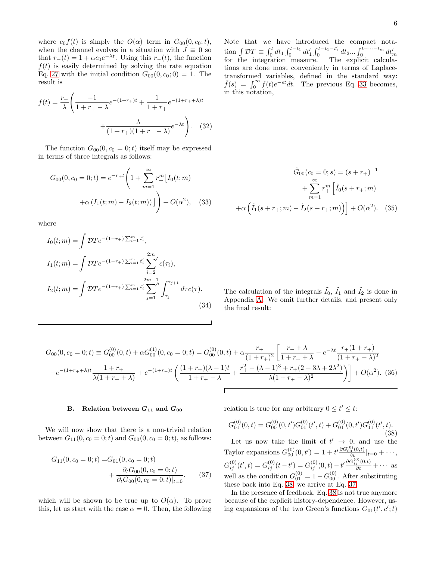where  $c_0 f(t)$  is simply the  $O(\alpha)$  term in  $G_{00}(0, c_0; t)$ , when the channel evolves in a situation with  $J \equiv 0$  so that  $r_-(t) = 1 + \alpha c_0 e^{-\lambda t}$ . Using this  $r_-(t)$ , the function  $f(t)$  is easily determined by solving the rate equation Eq. [27](#page-4-8) with the initial condition  $G_{00}(0, c_0; 0) = 1$ . The result is

$$
f(t) = \frac{r_+}{\lambda} \left( \frac{-1}{1 + r_+ - \lambda} e^{-(1 + r_+)t} + \frac{1}{1 + r_+} e^{-(1 + r_+ + \lambda)t} + \frac{\lambda}{(1 + r_+)(1 + r_+ - \lambda)} e^{-\lambda t} \right).
$$
 (32)

The function  $G_{00}(0, c_0 = 0; t)$  itself may be expressed in terms of three integrals as follows:

<span id="page-5-1"></span>
$$
G_{00}(0, c_0 = 0; t) = e^{-r_{+}t} \left( 1 + \sum_{m=1}^{\infty} r_{+}^{m} [I_0(t; m) + \alpha (I_1(t; m) - I_2(t; m))] \right) + O(\alpha^2), \quad (33)
$$

where

$$
I_0(t; m) = \int \mathcal{D}Te^{-(1-r_+) \sum_{i=1}^m t'_i},
$$
  
\n
$$
I_1(t; m) = \int \mathcal{D}Te^{-(1-r_+) \sum_{i=1}^m t'_i} \sum_{i=2}^{2m} c(\tau_i),
$$
  
\n
$$
I_2(t; m) = \int \mathcal{D}Te^{-(1-r_+) \sum_{i=1}^m t'_i} \sum_{j=1}^{2m-1} \int_{\tau_j}^{\tau_{j+1}} d\tau c(\tau).
$$
\n(34)

Note that we have introduced the compact notation  $\int \mathcal{D}T \equiv \int_0^t dt_1 \int_0^{t-t_1} dt'_1 \int_0^{t-t_1-t'_1} dt_2 ... \int_0^{t-\cdots-t_m} dt'_m$ <br>for the integration measure. The explicit calculations are done most conveniently in terms of Laplacetransformed variables, defined in the standard way:  $\tilde{f}(s) = \int_0^\infty f(t)e^{-st}dt$ . The previous Eq. [33](#page-5-1) becomes, in this notation,

$$
\tilde{G}_{00}(c_0 = 0; s) = (s + r_+)^{-1}
$$

$$
+ \sum_{m=1}^{\infty} r_+^m \left[ \tilde{I}_0(s + r_+; m) + \alpha \left( \tilde{I}_1(s + r_+; m) - \tilde{I}_2(s + r_+; m) \right) \right] + O(\alpha^2). \quad (35)
$$

<span id="page-5-4"></span>The calculation of the integrals  $\tilde{I}_0$ ,  $\tilde{I}_1$  and  $\tilde{I}_2$  is done in Appendix [A.](#page-14-1) We omit further details, and present only the final result:

<span id="page-5-3"></span>
$$
G_{00}(0, c_0 = 0; t) \equiv G_{00}^{(0)}(0, t) + \alpha G_{00}^{(1)}(0, c_0 = 0; t) = G_{00}^{(0)}(0, t) + \alpha \frac{r_+}{(1 + r_+)^2} \left[ \frac{r_+ + \lambda}{1 + r_+ + \lambda} - e^{-\lambda t} \frac{r_+ (1 + r_+)}{(1 + r_+ - \lambda)^2} \right]
$$

$$
-e^{-(1 + r_+ + \lambda)t} \frac{1 + r_+}{\lambda(1 + r_+ + \lambda)} + e^{-(1 + r_+)t} \left( \frac{(1 + r_+)(\lambda - 1)t}{1 + r_+ - \lambda} + \frac{r_+^2 - (\lambda - 1)^3 + r_+ (2 - 3\lambda + 2\lambda^2)}{\lambda(1 + r_+ - \lambda)^2} \right) + O(\alpha^2). \tag{36}
$$

### B. Relation between  $G_{11}$  and  $G_{00}$

We will now show that there is a non-trivial relation between  $G_{11}(0, c_0 = 0; t)$  and  $G_{00}(0, c_0 = 0; t)$ , as follows:

$$
G_{11}(0, c_0 = 0; t) = G_{01}(0, c_0 = 0; t) + \frac{\partial_t G_{00}(0, c_0 = 0; t)}{\partial_t G_{00}(0, c_0 = 0; t)|_{t=0}},
$$
(37)

which will be shown to be true up to  $O(\alpha)$ . To prove this, let us start with the case  $\alpha = 0$ . Then, the following

relation is true for any arbitrary  $0 \le t' \le t$ :

<span id="page-5-2"></span>
$$
G_{01}^{(0)}(0,t) = G_{00}^{(0)}(0,t')G_{01}^{(0)}(t',t) + G_{01}^{(0)}(0,t')G_{11}^{(0)}(t',t).
$$
\n(38)

Let us now take the limit of  $t' \rightarrow 0$ , and use the Taylor expansions  $G_{00}^{(0)}(0,t') = 1 + t' \frac{\partial G_{00}^{(0)}(0,t)}{\partial t} |_{t=0} + \cdots$ ,  $G_{ij}^{(0)}(t',t) = G_{ij}^{(0)}(t-t') = G_{ij}^{(0)}(0,t) - t' \frac{\partial G_{ij}^{(0)}(0,t)}{\partial t} + \cdots$  as well as the condition  $G_{01}^{(0)} = 1 - G_{00}^{(0)}$ . After substituting these back into Eq. [38,](#page-5-2) we arrive at Eq. [37.](#page-5-0)

<span id="page-5-0"></span>In the presence of feedback, Eq. [38](#page-5-2) is not true anymore because of the explicit history-dependence. However, using expansions of the two Green's functions  $G_{01}(t', c'; t)$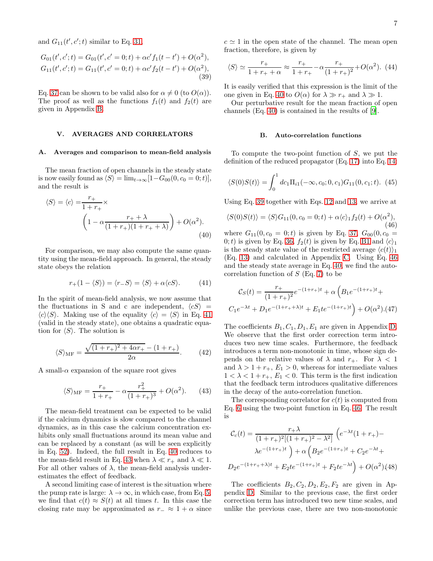and  $G_{11}(t', c'; t)$  similar to Eq. [31,](#page-4-9)

$$
G_{01}(t',c';t) = G_{01}(t',c'=0;t) + \alpha c' f_1(t-t') + O(\alpha^2),
$$
  
\n
$$
G_{11}(t',c';t) = G_{11}(t',c'=0;t) + \alpha c' f_2(t-t') + O(\alpha^2),
$$
\n(39)

Eq. [37](#page-5-0) can be shown to be valid also for  $\alpha \neq 0$  (to  $O(\alpha)$ ). The proof as well as the functions  $f_1(t)$  and  $f_2(t)$  are given in Appendix [B.](#page-16-0)

### <span id="page-6-0"></span>V. AVERAGES AND CORRELATORS

#### A. Averages and comparison to mean-field analysis

The mean fraction of open channels in the steady state is now easily found as  $\langle S \rangle = \lim_{t\to\infty} [1-G_{00}(0, c_0 = 0; t)],$ and the result is

$$
\langle S \rangle = \langle c \rangle = \frac{r_+}{1 + r_+} \times \left(1 - \alpha \frac{r_+ + \lambda}{(1 + r_+)(1 + r_+ + \lambda)}\right) + O(\alpha^2). \tag{40}
$$

For comparison, we may also compute the same quantity using the mean-field approach. In general, the steady state obeys the relation

<span id="page-6-1"></span>
$$
r_{+}(1 - \langle S \rangle) = \langle r_{-}S \rangle = \langle S \rangle + \alpha \langle cS \rangle.
$$
 (41)

In the spirit of mean-field analysis, we now assume that the fluctuations in S and c are independent,  $\langle cS \rangle$  =  $\langle c \rangle \langle S \rangle$ . Making use of the equality  $\langle c \rangle = \langle S \rangle$  in Eq. [41](#page-6-1) (valid in the steady state), one obtains a quadratic equation for  $\langle S \rangle$ . The solution is

$$
\langle S \rangle_{\rm MF} = \frac{\sqrt{(1+r_{+})^2 + 4\alpha r_{+}} - (1+r_{+})}{2\alpha}.
$$
 (42)

A small- $\alpha$  expansion of the square root gives

<span id="page-6-3"></span>
$$
\langle S \rangle_{\rm MF} = \frac{r_+}{1 + r_+} - \alpha \frac{r_+^2}{(1 + r_+)^3} + O(\alpha^2). \tag{43}
$$

The mean-field treatment can be expected to be valid if the calcium dynamics is slow compared to the channel dynamics, as in this case the calcium concentration exhibits only small fluctuations around its mean value and can be replaced by a constant (as will be seen explicitly in Eq. [52\)](#page-7-1). Indeed, the full result in Eq. [40](#page-6-2) reduces to the mean-field result in Eq. [43](#page-6-3) when  $\lambda \ll r_+$  and  $\lambda \ll 1$ . For all other values of  $\lambda$ , the mean-field analysis underestimates the effect of feedback.

A second limiting case of interest is the situation where the pump rate is large:  $\lambda \to \infty$ , in which case, from Eq. [5,](#page-2-3) we find that  $c(t) \approx S(t)$  at all times t. In this case the closing rate may be approximated as  $r_-\approx 1+\alpha$  since  $c \approx 1$  in the open state of the channel. The mean open fraction, therefore, is given by

$$
\langle S \rangle \simeq \frac{r_+}{1 + r_+ + \alpha} \approx \frac{r_+}{1 + r_+} - \alpha \frac{r_+}{(1 + r_+)^2} + O(\alpha^2). \tag{44}
$$

<span id="page-6-4"></span>It is easily verified that this expression is the limit of the one given in Eq. [40](#page-6-2) to  $O(\alpha)$  for  $\lambda \gg r_+$  and  $\lambda \gg 1$ .

Our perturbative result for the mean fraction of open channels (Eq. [40\)](#page-6-2) is contained in the results of [\[9\]](#page-13-8).

#### B. Auto-correlation functions

To compute the two-point function of S, we put the definition of the reduced propagator (Eq. [17\)](#page-3-3) into Eq. [14:](#page-3-4)

$$
\langle S(0)S(t)\rangle = \int_0^1 dc_1\Pi_{i1}(-\infty, c_0; 0, c_1)G_{11}(0, c_1; t). \tag{45}
$$

Using Eq. [39](#page-6-4) together with Eqs. [12](#page-3-5) and [13,](#page-3-6) we arrive at

<span id="page-6-5"></span>
$$
\langle S(0)S(t)\rangle = \langle S\rangle G_{11}(0, c_0 = 0; t) + \alpha \langle c\rangle_1 f_2(t) + O(\alpha^2),
$$
\n(46)

<span id="page-6-2"></span>where  $G_{11}(0, c_0 = 0; t)$  is given by Eq. [37,](#page-5-0)  $G_{00}(0, c_0 = 0; t)$ 0; t) is given by Eq. [36,](#page-5-3)  $f_2(t)$  is given by Eq. [B1](#page-16-1) and  $\langle c \rangle_1$ is the steady state value of the restricted average  $\langle c(t) \rangle_1$ (Eq. [13\)](#page-3-6) and calculated in Appendix [C.](#page-16-2) Using Eq. [46](#page-6-5) and the steady state average in Eq. [40,](#page-6-2) we find the autocorrelation function of  $S$  (Eq. [7\)](#page-2-4) to be

<span id="page-6-7"></span>
$$
\mathcal{C}_S(t) = \frac{r_+}{(1+r_+)^2} e^{-(1+r_+)t} + \alpha \left( B_1 e^{-(1+r_+)t} + C_1 e^{-\lambda t} + D_1 e^{-(1+r_+)\lambda t} + E_1 t e^{-(1+r_+)\lambda t} \right) + O(\alpha^2) \cdot (47)
$$

The coefficients  $B_1, C_1, D_1, E_1$  are given in Appendix [D.](#page-17-0) We observe that the first order correction term introduces two new time scales. Furthermore, the feedback introduces a term non-monotonic in time, whose sign depends on the relative values of  $\lambda$  and  $r_{+}$ . For  $\lambda < 1$ and  $\lambda > 1 + r_+$ ,  $E_1 > 0$ , whereas for intermediate values  $1 < \lambda < 1 + r_+, E_1 < 0$ . This term is the first indication that the feedback term introduces qualitative differences in the decay of the auto-correlation function.

The corresponding correlator for  $c(t)$  is computed from Eq. [6](#page-2-5) using the two-point function in Eq. [46.](#page-6-5) The result is

<span id="page-6-6"></span>
$$
\mathcal{C}_c(t) = \frac{r_+ \lambda}{(1 + r_+)^2 [(1 + r_+)^2 - \lambda^2]} \left( e^{-\lambda t} (1 + r_+) - \lambda e^{-(1 + r_+)t} \right) + \alpha \left( B_2 e^{-(1 + r_+)t} + C_2 e^{-\lambda t} + \lambda e^{-(1 + r_+)t} + E_2 t e^{-(1 + r_+)t} + F_2 t e^{-\lambda t} \right) + O(\alpha^2) (48)
$$

The coefficients  $B_2, C_2, D_2, E_2, F_2$  are given in Appendix [D.](#page-17-0) Similar to the previous case, the first order correction term has introduced two new time scales, and unlike the previous case, there are two non-monotonic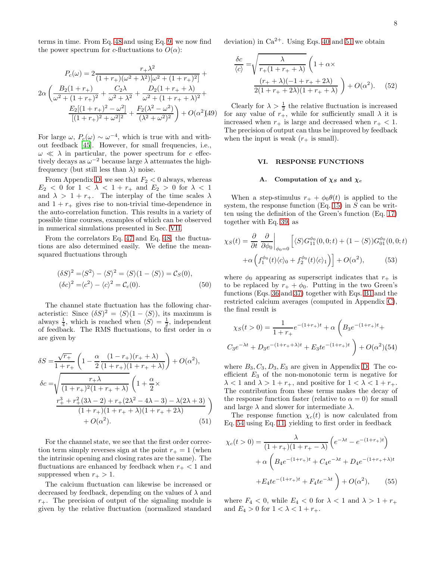terms in time. From Eq. [48](#page-6-6) and using Eq. [9,](#page-2-6) we now find the power spectrum for c-fluctuations to  $O(\alpha)$ :

$$
P_c(\omega) = 2 \frac{r_+ \lambda^2}{(1 + r_+)(\omega^2 + \lambda^2)[\omega^2 + (1 + r_+)^2]} + 2\alpha \left( \frac{B_2(1 + r_+)}{\omega^2 + (1 + r_+)^2} + \frac{C_2 \lambda}{\omega^2 + \lambda^2} + \frac{D_2(1 + r_+ + \lambda)}{\omega^2 + (1 + r_+ + \lambda)^2} + \frac{E_2[(1 + r_+)^2 - \omega^2]}{[(1 + r_+)^2 + \omega^2]^2} + \frac{F_2(\lambda^2 - \omega^2)}{(\lambda^2 + \omega^2)^2} \right) + O(\alpha^2)
$$

For large  $\omega$ ,  $P_c(\omega) \sim \omega^{-4}$ , which is true with and without feedback [\[45](#page-14-2)]. However, for small frequencies, i.e.,  $\omega \ll \lambda$  in particular, the power spectrum for c effectively decays as  $\omega^{-2}$  because large  $\lambda$  attenuates the highfrequency (but still less than  $\lambda$ ) noise.

From Appendix [D,](#page-17-0) we see that  $F_2 < 0$  always, whereas  $E_2 < 0$  for  $1 < \lambda < 1 + r_+$  and  $E_2 > 0$  for  $\lambda < 1$ and  $\lambda > 1 + r_+$ . The interplay of the time scales  $\lambda$ and  $1 + r_+$  gives rise to non-trivial time-dependence in the auto-correlation function. This results in a variety of possible time courses, examples of which can be observed in numerical simulations presented in Sec. [VII.](#page-8-0)

From the correlators Eq. [47](#page-6-7) and Eq. [48,](#page-6-6) the fluctuations are also determined easily. We define the meansquared fluctuations through

$$
(\delta S)^2 = \langle S^2 \rangle - \langle S \rangle^2 = \langle S \rangle (1 - \langle S \rangle) = C_S(0),
$$
  

$$
(\delta c)^2 = \langle c^2 \rangle - \langle c \rangle^2 = C_c(0).
$$
 (50)

The channel state fluctuation has the following characteristic: Since  $(\delta S)^2 = \langle S \rangle (1 - \langle S \rangle)$ , its maximum is always  $\frac{1}{4}$ , which is reached when  $\langle S \rangle = \frac{1}{2}$ , independent of feedback. The RMS fluctuations, to first order in  $\alpha$ are given by

$$
\delta S = \frac{\sqrt{r_+}}{1 + r_+} \left( 1 - \frac{\alpha}{2} \frac{(1 - r_+)(r_+ + \lambda)}{(1 + r_+)(1 + r_+ + \lambda)} \right) + O(\alpha^2),
$$
  
\n
$$
\delta c = \sqrt{\frac{r_+ \lambda}{(1 + r_+)^2 (1 + r_+ + \lambda)}} \left( 1 + \frac{\alpha}{2} \times \frac{r_+^3 + r_+^2 (3\lambda - 2) + r_+ (2\lambda^2 - 4\lambda - 3) - \lambda (2\lambda + 3)}{(1 + r_+)(1 + r_+ + \lambda)(1 + r_+ + 2\lambda)} \right)
$$
  
\n+ O(\alpha^2). (51)

For the channel state, we see that the first order correction term simply reverses sign at the point  $r_{+} = 1$  (when the intrinsic opening and closing rates are the same). The fluctuations are enhanced by feedback when  $r_{+}$  < 1 and suppressed when  $r_{+} > 1$ .

The calcium fluctuation can likewise be increased or decreased by feedback, depending on the values of  $\lambda$  and  $r_{+}$ . The precision of output of the signaling module is given by the relative fluctuation (normalized standard

deviation) in  $Ca^{2+}$ . Using Eqs. [40](#page-6-2) and [51](#page-7-2) we obtain

$$
\frac{\delta c}{\langle c \rangle} = \sqrt{\frac{\lambda}{r_+(1+r_++\lambda)}} \left(1+\alpha \times \frac{(r_++\lambda)(-1+r_++2\lambda)}{2(1+r_++2\lambda)(1+r_++\lambda)}\right) + O(\alpha^2). \tag{52}
$$

Clearly for  $\lambda > \frac{1}{2}$  the relative fluctuation is increased for any value of  $r_{+}$ , while for sufficiently small  $\lambda$  it is increased when  $r_+$  is large and decreased when  $r_+ < 1$ . The precision of output can thus be improved by feedback when the input is weak  $(r_{+}$  is small).

#### <span id="page-7-1"></span><span id="page-7-0"></span>VI. RESPONSE FUNCTIONS

#### A. Computation of  $\chi_S$  and  $\chi_c$

When a step-stimulus  $r_+ + \phi_0 \theta(t)$  is applied to the system, the response function  $(Eq. 15)$  $(Eq. 15)$  in S can be written using the definition of the Green's function (Eq. [17\)](#page-3-3) together with Eq. [39,](#page-6-4) as

$$
\chi_S(t) = \frac{\partial}{\partial t} \left. \frac{\partial}{\partial \phi_0} \right|_{\phi_0 = 0} \left[ \langle S \rangle G_{11}^{\phi_0}(0, 0; t) + (1 - \langle S \rangle) G_{01}^{\phi_0}(0, 0; t) + \alpha \left( f_1^{\phi_0}(t) \langle c \rangle_0 + f_2^{\phi_0}(t) \langle c \rangle_1 \right) \right] + O(\alpha^2), \tag{53}
$$

where  $\phi_0$  appearing as superscript indicates that  $r_+$  is to be replaced by  $r_+ + \phi_0$ . Putting in the two Green's functions (Eqs. [36](#page-5-3) and [37\)](#page-5-0) together with Eqs. [B1](#page-16-1) and the restricted calcium averages (computed in Appendix [C\)](#page-16-2), the final result is

<span id="page-7-3"></span>
$$
\chi_S(t>0) = \frac{1}{1+r_+} e^{-(1+r_+)t} + \alpha \left( B_3 e^{-(1+r_+)t} + C_3 e^{-\lambda t} + D_3 e^{-(1+r_+ + \lambda)t} + E_3 t e^{-(1+r_+ + \lambda)t} \right) + O(\alpha^2)(54)
$$

where  $B_3, C_3, D_3, E_3$  are given in Appendix [D.](#page-17-0) The coefficient  $E_3$  of the non-monotonic term is negative for  $\lambda < 1$  and  $\lambda > 1 + r_+$ , and positive for  $1 < \lambda < 1 + r_+$ . The contribution from these terms makes the decay of the response function faster (relative to  $\alpha = 0$ ) for small and large  $\lambda$  and slower for intermediate  $\lambda$ .

<span id="page-7-2"></span>The response function  $\chi_c(t)$  is now calculated from Eq. [54](#page-7-3) using Eq. [11,](#page-3-8) yielding to first order in feedback

$$
\chi_c(t>0) = \frac{\lambda}{(1+r_+)(1+r_+-\lambda)} \left( e^{-\lambda t} - e^{-(1+r_+)t} \right)
$$

$$
+ \alpha \left( B_4 e^{-(1+r_+)t} + C_4 e^{-\lambda t} + D_4 e^{-(1+r_++\lambda)t} \right)
$$

$$
+ E_4 t e^{-(1+r_+)t} + F_4 t e^{-\lambda t} \right) + O(\alpha^2), \qquad (55)
$$

<span id="page-7-4"></span>where  $F_4 < 0$ , while  $E_4 < 0$  for  $\lambda < 1$  and  $\lambda > 1 + r_+$ and  $E_4 > 0$  for  $1 < \lambda < 1 + r_+$ .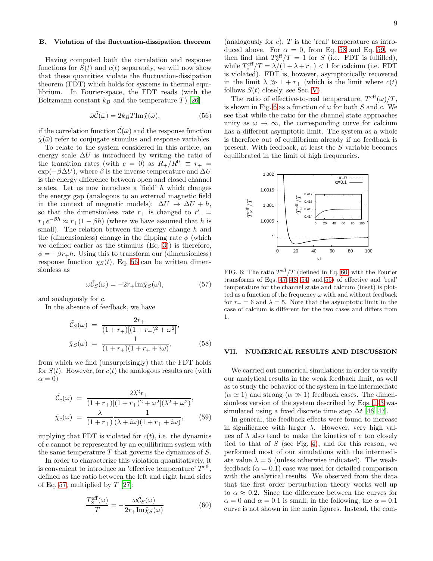Having computed both the correlation and response functions for  $S(t)$  and  $c(t)$  separately, we will now show that these quantities violate the fluctuation-dissipation theorem (FDT) which holds for systems in thermal equilibrium. In Fourier-space, the FDT reads (with the Boltzmann constant  $k_B$  and the temperature T [\[26\]](#page-13-26)

<span id="page-8-1"></span>
$$
\bar{\omega}\tilde{\mathcal{C}}(\bar{\omega}) = 2k_B T \text{Im}\tilde{\chi}(\bar{\omega}),\tag{56}
$$

if the correlation function  $\tilde{\mathcal{C}}(\bar{\omega})$  and the response function  $\tilde{\chi}(\bar{\omega})$  refer to conjugate stimulus and response variables.

To relate to the system considered in this article, an energy scale  $\Delta U$  is introduced by writing the ratio of the transition rates (with  $c = 0$ ) as  $R_{+}/R_{-}^{0} \equiv r_{+} =$  $\exp(-\beta \Delta U)$ , where  $\beta$  is the inverse temperature and  $\Delta U$ is the energy difference between open and closed channel states. Let us now introduce a 'field' h which changes the energy gap (analogous to an external magnetic field in the context of magnetic models):  $\Delta U \rightarrow \Delta U + h$ , so that the dimensionless rate  $r_+$  is changed to  $r'_+$  =  $r_+e^{-\beta h} \approx r_+(1-\beta h)$  (where we have assumed that *h* is replacements small). The relation between the energy change  $h$  and the (dimensionless) change in the flipping rate  $\phi$  (which we defined earlier as the stimulus (Eq. [3\)](#page-2-1)) is therefore,  $\phi = -\beta r_+ h$ . Using this to transform our (dimensionless) response function  $\chi_S(t)$ , Eq. [56](#page-8-1) can be written dimensionless as

<span id="page-8-2"></span>
$$
\omega \tilde{\mathcal{C}}_S(\omega) = -2r_+ \text{Im}\tilde{\chi}_S(\omega),\tag{57}
$$

and analogously for c.

In the absence of feedback, we have

<span id="page-8-3"></span>
$$
\tilde{\mathcal{C}}_S(\omega) = \frac{2r_+}{(1+r_+)[(1+r_+)^2 + \omega^2]},
$$
\n
$$
\tilde{\chi}_S(\omega) = \frac{1}{(1+r_+)(1+r_+ + i\omega)},
$$
\n(58)

from which we find (unsurprisingly) that the FDT holds for  $S(t)$ . However, for  $c(t)$  the analogous results are (with  $\alpha = 0$ )

<span id="page-8-4"></span>
$$
\tilde{C}_{c}(\omega) = \frac{2\lambda^{2}r_{+}}{(1+r_{+})[(1+r_{+})^{2}+\omega^{2}](\lambda^{2}+\omega^{2})},
$$
\n
$$
\tilde{\chi}_{c}(\omega) = \frac{\lambda}{(1+r_{+})}\frac{1}{(\lambda+i\omega)(1+r_{+}+i\omega)},
$$
\n(59)

implying that FDT is violated for  $c(t)$ , i.e. the dynamics of c cannot be represented by an equilibrium system with the same temperature  $T$  that governs the dynamics of  $S$ .

In order to characterize this violation quantitatively, it is convenient to introduce an 'effective temperature'  $T<sup>eff</sup>$ , defined as the ratio between the left and right hand sides of Eq. [57,](#page-8-2) multiplied by  $T$  [\[27\]](#page-13-27):

<span id="page-8-6"></span>
$$
\frac{T_S^{\text{eff}}(\omega)}{T} = -\frac{\omega \tilde{C}_S(\omega)}{2r_+\text{Im}\tilde{\chi}_S(\omega)}\tag{60}
$$

(analogously for  $c$ ).  $T$  is the 'real' temperature as introduced above. For  $\alpha = 0$ , from Eq. [58](#page-8-3) and Eq. [59,](#page-8-4) we then find that  $T_S^{\text{eff}}/T = 1$  for S (i.e. FDT is fulfilled), while  $T_c^{\text{eff}}/T = \lambda/(1 + \lambda + r_+) < 1$  for calcium (i.e. FDT is violated). FDT is, however, asymptotically recovered in the limit  $\lambda \gg 1 + r_+$  (which is the limit where  $c(t)$ ) follows  $S(t)$  closely, see Sec. [V\)](#page-6-0).

The ratio of effective-to-real temperature,  $T^{\text{eff}}(\omega)/T$ , is shown in Fig. [6](#page-8-5) as a function of  $\omega$  for both S and c. We see that while the ratio for the channel state approaches unity as  $\omega \to \infty$ , the corresponding curve for calcium has a different asymptotic limit. The system as a whole is therefore out of equilibrium already if no feedback is present. With feedback, at least the S variable becomes equilibrated in the limit of high frequencies.



<span id="page-8-5"></span>FIG. 6: The ratio  $T^{\text{eff}}/T$  (defined in Eq. [60;](#page-8-6) with the Fourier transforms of Eqs. [47,](#page-6-7) [48,](#page-6-6) [54,](#page-7-3) and [55\)](#page-7-4) of effective and 'real' temperature for the channel state and calcium (inset) is plotted as a function of the frequency  $\omega$  with and without feedback for  $r_{+} = 6$  and  $\lambda = 5$ . Note that the asymptotic limit in the case of calcium is different for the two cases and differs from 1.

## <span id="page-8-0"></span>VII. NUMERICAL RESULTS AND DISCUSSION

We carried out numerical simulations in order to verify our analytical results in the weak feedback limit, as well as to study the behavior of the system in the intermediate  $(\alpha \simeq 1)$  and strong  $(\alpha \gg 1)$  feedback cases. The dimensionless version of the system described by Eqs. [1–](#page-1-4)[3](#page-2-1) was simulated using a fixed discrete time step  $\Delta t$  [\[46\]](#page-14-3)[\[47\]](#page-14-4).

In general, the feedback effects were found to increase in significance with larger  $\lambda$ . However, very high values of  $\lambda$  also tend to make the kinetics of c too closely tied to that of  $S$  (see Fig. [4\)](#page-2-2), and for this reason, we performed most of our simulations with the intermediate value  $\lambda = 5$  (unless otherwise indicated). The weakfeedback  $(\alpha = 0.1)$  case was used for detailed comparison with the analytical results. We observed from the data that the first order perturbation theory works well up to  $\alpha \approx 0.2$ . Since the difference between the curves for  $\alpha = 0$  and  $\alpha = 0.1$  is small, in the following, the  $\alpha = 0.1$ curve is not shown in the main figures. Instead, the com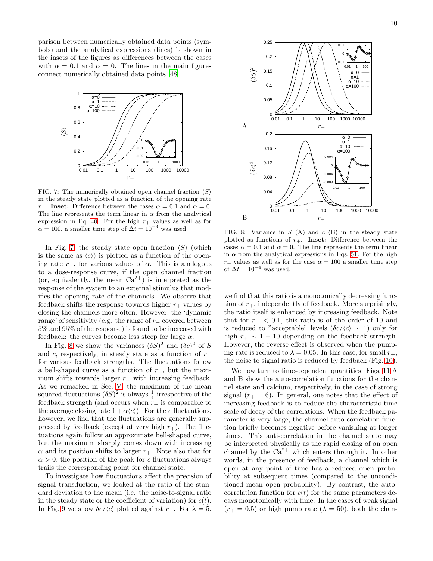parison between numerically obtained data points (symbols) and the analytical expressions (lines) is shown in the insets of the figures as differences between the cases with  $\alpha = 0.1$  and  $\alpha = 0$ . The lines in the main figures connect numerically obtained data points [\[48\]](#page-14-5).



<span id="page-9-0"></span>FIG. 7: The numerically obtained open channel fraction  $\langle S \rangle$ in the steady state plotted as a function of the opening rate  $r_{+}$ . Inset: Difference between the cases  $\alpha = 0.1$  and  $\alpha = 0$ . The line represents the term linear in  $\alpha$  from the analytical expression in Eq. [40.](#page-6-2) For the high  $r_+$  values as well as for  $\alpha = 100$ , a smaller time step of  $\Delta t = 10^{-4}$  was used.

In Fig. [7,](#page-9-0) the steady state open fraction  $\langle S \rangle$  (which is the same as  $\langle c \rangle$  is plotted as a function of the opening rate  $r_{+}$ , for various values of  $\alpha$ . This is analogous to a dose-response curve, if the open channel fraction (or, equivalently, the mean  $Ca^{2+}$ ) is interpreted as the response of the system to an external stimulus that modifies the opening rate of the channels. We observe that feedback shifts the response towards higher  $r_{+}$  values by closing the channels more often. However, the 'dynamic range' of sensitivity (e.g. the range of  $r_{+}$  covered between 5% and 95% of the response) is found to be increased with feedback: the curves become less steep for large  $\alpha$ .

In Fig. [8](#page-9-1) we show the variances  $(\delta S)^2$  and  $(\delta c)^2$  of S and c, respectively, in steady state as a function of  $r_{+}$ for various feedback strengths. The fluctuations follow a bell-shaped curve as a function of  $r_{+}$ , but the maximum shifts towards larger  $r_{+}$  with increasing feedback. As we remarked in Sec. [V,](#page-6-0) the maximum of the mean squared fluctuations  $(\delta S)^2$  is always  $\frac{1}{4}$  irrespective of the feedback strength (and occurs when  $r_+$  is comparable to the average closing rate  $1 + \alpha \langle c \rangle$ . For the c fluctuations, however, we find that the fluctuations are generally suppressed by feedback (except at very high  $r_{+}$ ). The fluctuations again follow an approximate bell-shaped curve, but the maximum sharply comes down with increasing  $\alpha$  and its position shifts to larger  $r_{+}$ . Note also that for  $\alpha > 0$ , the position of the peak for c-fluctuations always trails the corresponding point for channel state.

To investigate how fluctuations affect the precision of signal transduction, we looked at the ratio of the standard deviation to the mean (i.e. the noise-to-signal ratio in the steady state or the coefficient of variation) for  $c(t)$ . In Fig. [9](#page-10-0) we show  $\delta c/\langle c \rangle$  plotted against  $r_+$ . For  $\lambda = 5$ ,



<span id="page-9-1"></span>FIG. 8: Variance in  $S(A)$  and  $c(B)$  in the steady state plotted as functions of  $r_{+}$ . Inset: Difference between the cases  $\alpha = 0.1$  and  $\alpha = 0$ . The line represents the term linear in  $\alpha$  from the analytical expressions in Eqs. [51.](#page-7-2) For the high  $r_{+}$  values as well as for the case  $\alpha = 100$  a smaller time step of  $\Delta t = 10^{-4}$  was used.

we find that this ratio is a monotonically decreasing function of  $r_{+}$ , independently of feedback. More surprisingly, the ratio itself is enhanced by increasing feedback. Note that for  $r_{+}$  < 0.1, this ratio is of the order of 10 and is reduced to "acceptable" levels  $(\delta c/\langle c \rangle \sim 1)$  only for high  $r_+ \sim 1 - 10$  depending on the feedback strength. However, the reverse effect is observed when the pumping rate is reduced to  $\lambda = 0.05$ . In this case, for small  $r_{+}$ , the noise to signal ratio is reduced by feedback (Fig. [10\)](#page-10-1).

We now turn to time-dependent quantities. Figs. [11](#page-10-2) A and B show the auto-correlation functions for the channel state and calcium, respectively, in the case of strong signal  $(r_{+} = 6)$ . In general, one notes that the effect of increasing feedback is to reduce the characteristic time scale of decay of the correlations. When the feedback parameter is very large, the channel auto-correlation function briefly becomes negative before vanishing at longer times. This anti-correlation in the channel state may be interpreted physically as the rapid closing of an open channel by the  $Ca^{2+}$  which enters through it. In other words, in the presence of feedback, a channel which is open at any point of time has a reduced open probability at subsequent times (compared to the unconditioned mean open probability). By contrast, the autocorrelation function for  $c(t)$  for the same parameters decays monotonically with time. In the cases of weak signal  $(r_{+} = 0.5)$  or high pump rate  $(\lambda = 50)$ , both the chan-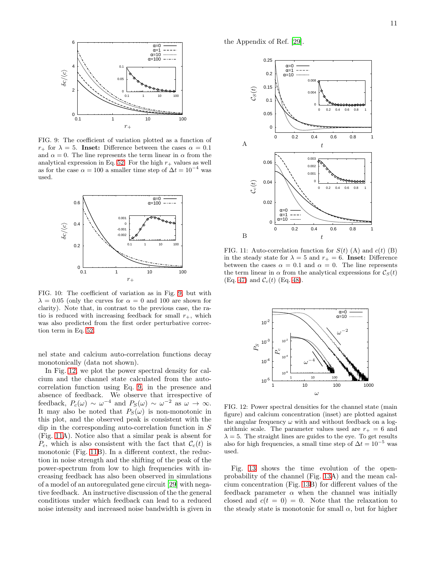

<span id="page-10-0"></span>FIG. 9: The coefficient of variation plotted as a function of  $r_{+}$  for  $\lambda = 5$ . Inset: Difference between the cases  $\alpha = 0.1$ and  $\alpha = 0$ . The line represents the term linear in  $\alpha$  from the analytical expression in Eq. [52.](#page-7-1) For the high  $r_{+}$  values as well as for the case  $\alpha = 100$  a smaller time step of  $\Delta t = 10^{-4}$  was used.



<span id="page-10-1"></span>FIG. 10: The coefficient of variation as in Fig. [9,](#page-10-0) but with  $\lambda = 0.05$  (only the curves for  $\alpha = 0$  and 100 are shown for clarity). Note that, in contrast to the previous case, the ratio is reduced with increasing feedback for small  $r_{+}$ , which was also predicted from the first order perturbative Storag creplacements tion term in Eq. [52.](#page-7-1)

nel state and calcium auto-correlation functions decay monotonically (data not shown).

In Fig. [12,](#page-10-3) we plot the power spectral density for calcium and the channel state calculated from the autocorrelation function using Eq. [9,](#page-2-6) in the presence and absence of feedback. We observe that irrespective of feedback,  $P_c(\omega) \sim \omega^{-4}$  and  $P_S(\omega) \sim \omega^{-2}$  as  $\omega \to \infty$ . It may also be noted that  $P_S(\omega)$  is non-monotonic in this plot, and the observed peak is consistent with the dip in the corresponding auto-correlation function in S (Fig. [11A](#page-10-2)). Notice also that a similar peak is absent for  $P_c$ , which is also consistent with the fact that  $\mathcal{C}_c(t)$  is monotonic (Fig. [11B](#page-10-2)). In a different context, the reduction in noise strength and the shifting of the peak of the power-spectrum from low to high frequencies with increasing feedback has also been observed in simulations of a model of an autoregulated gene circuit [\[29](#page-13-28)] with negative feedback. An instructive discussion of the the general conditions under which feedback can lead to a reduced noise intensity and increased noise bandwidth is given in

the Appendix of Ref. [\[29\]](#page-13-28).



<span id="page-10-2"></span>FIG. 11: Auto-correlation function for  $S(t)$  (A) and  $c(t)$  (B) in the steady state for  $\lambda = 5$  and  $r_+ = 6$ . Inset: Difference between the cases  $\alpha = 0.1$  and  $\alpha = 0$ . The line represents the term linear in  $\alpha$  from the analytical expressions for  $\mathcal{C}_{S}(t)$ (Eq. [47\)](#page-6-7) and  $C_c(t)$  (Eq. [48\)](#page-6-6).



<span id="page-10-3"></span>FIG. 12: Power spectral densities for the channel state (main figure) and calcium concentration (inset) are plotted against the angular frequency  $\omega$  with and without feedback on a logarithmic scale. The parameter values used are  $r_{+} = 6$  and  $\lambda = 5$ . The straight lines are guides to the eye. To get results also for high frequencies, a small time step of  $\Delta t = 10^{-5}$  was used.

Fig. [13](#page-11-0) shows the time evolution of the openprobability of the channel (Fig. [13A](#page-11-0)) and the mean calcium concentration (Fig. [13B](#page-11-0)) for different values of the feedback parameter  $\alpha$  when the channel was initially closed and  $c(t = 0) = 0$ . Note that the relaxation to the steady state is monotonic for small  $\alpha$ , but for higher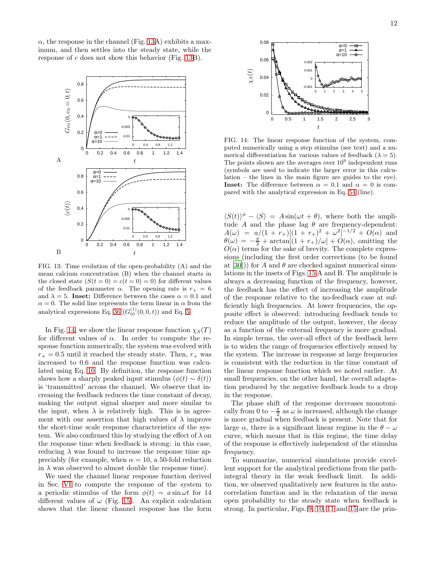$\alpha$ , the response in the channel (Fig. [13A](#page-11-0)) exhibits a maximum, and then settles into the steady state, while the response of c does not show this behavior (Fig. [13B](#page-11-0)).



<span id="page-11-0"></span>FIG. 13: Time evolution of the open-probability (A) and the mean calcium concentration (B) when the channel starts in the closed state  $(S(t = 0) = c(t = 0) = 0)$  for different values of the feedback parameter  $\alpha$ . The opening rate is  $r_+ = 6$ and  $\lambda = 5$ . Inset: Difference between the cases  $\alpha = 0.1$  and  $\alpha = 0$ . The solid line represents the term linear in  $\alpha$  from the analytical expressions Eq. [36](#page-5-3)  $(G_{01}^{(1)}(0, 0, t))$  and Eq. [5.](#page-2-3)

In Fig. [14,](#page-11-1) we show the linear response function  $\chi_S(T)$ for different values of  $\alpha$ . In order to compute the response function numerically, the system was evolved with  $r_{+} = 0.5$  until it reached the steady state. Then,  $r_{+}$  was increased to 0.6 and the response function was calculated using Eq. [10.](#page-3-9) By definition, the response function shows how a sharply peaked input stimulus  $(\phi(t) \sim \delta(t))$ is 'transmitted' across the channel. We observe that increasing the feedback reduces the time constant of decay, making the output signal sharper and more similar to the input, when  $\lambda$  is relatively high. This is in agreement with our assertion that high values of  $\lambda$  improve the short-time scale response characteristics of the system. We also confirmed this by studying the effect of  $\lambda$  on the response time when feedback is strong: in this case, reducing  $\lambda$  was found to increase the response time appreciably (for example, when  $\alpha = 10$ , a 50-fold reduction in  $\lambda$  was observed to almost double the response time).

We used the channel linear response function derived in Sec. [VI](#page-7-0) to compute the response of the system to a periodic stimulus of the form  $\phi(t) = a \sin \omega t$  for 14 different values of  $\omega$  (Fig. [15\)](#page-12-1). An explicit calculation shows that the linear channel response has the form



<span id="page-11-1"></span>FIG. 14: The linear response function of the system, computed numerically using a step stimulus (see text) and a numerical differentiation for various values of feedback ( $\lambda = 5$ ). The points shown are the averages over  $10^9$  independent runs (symbols are used to indicate the larger error in this calculation – the lines in the main figure are guides to the eye). **Inset:** The difference between  $\alpha = 0.1$  and  $\alpha = 0$  is compared with the analytical expression in Eq. [54](#page-7-3) (line).

 $\langle S(t) \rangle^{\phi} - \langle S \rangle = A \sin(\omega t + \theta)$ , where both the amplitude A and the phase lag  $\theta$  are frequency-dependent:  $A(\omega) = a/(1 + r_{+})[(1 + r_{+})^{2} + \omega^{2}]^{-1/2} + O(\alpha)$  and  $\theta(\omega) = -\frac{\pi}{2} + \arctan[(1+r_{+})/\omega] + O(\alpha)$ , omitting the  $O(\alpha)$  terms for the sake of brevity. The complete expressions (including the first order corrections (to be found at  $[30]$ ) for A and  $\theta$  are checked against numerical simulations in the insets of Figs. [15](#page-12-1) A and B. The amplitude is always a decreasing function of the frequency, however, the feedback has the effect of increasing the amplitude of the response relative to the no-feedback case at sufficiently high frequencies. At lower frequencies, the opposite effect is observed: introducing feedback tends to reduce the amplitude of the output, however, the decay as a function of the external frequency is more gradual. In simple terms, the over-all effect of the feedback here is to widen the range of frequencies effectively sensed by the system. The increase in response at large frequencies is consistent with the reduction in the time constant of the linear response function which we noted earlier. At small frequencies, on the other hand, the overall adaptation produced by the negative feedback leads to a drop in the response.

The phase shift of the response decreases monotonically from 0 to  $-\frac{\pi}{2}$  as  $\omega$  is increased, although the change is more gradual when feedback is present. Note that for large  $\alpha$ , there is a significant linear regime in the  $\theta - \omega$ curve, which means that in this regime, the time delay of the response is effectively independent of the stimulus frequency.

To summarize, numerical simulations provide excellent support for the analytical predictions from the pathintegral theory in the weak feedback limit. In addition, we observed qualitatively new features in the autocorrelation function and in the relaxation of the mean open probability to the steady state when feedback is strong. In particular, Figs. [9,](#page-10-0) [10,](#page-10-1) [11](#page-10-2) and [15](#page-12-1) are the prin-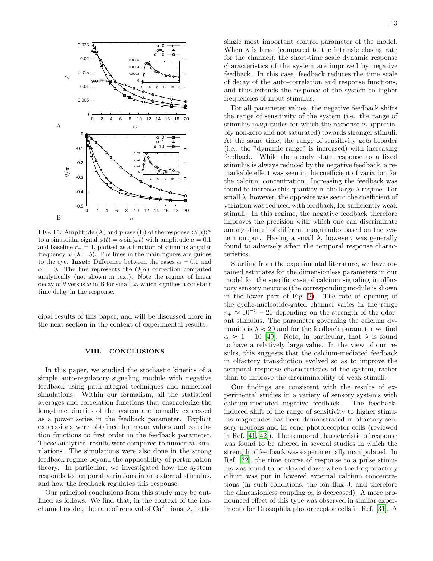

<span id="page-12-1"></span>FIG. 15: Amplitude (A) and phase (B) of the response  $\langle S(t) \rangle^{\phi}$ to a sinusoidal signal  $\phi(t) = a \sin(\omega t)$  with amplitude  $a = 0.1$ and baseline  $r_{+} = 1$ , plotted as a function of stimulus angular frequency  $\omega$  ( $\lambda = 5$ ). The lines in the main figures are guides to the eye. Inset: Difference between the cases  $\alpha = 0.1$  and  $\alpha = 0$ . The line represents the  $O(\alpha)$  correction computed analytically (not shown in text). Note the regime of linear decay of  $\theta$  versus  $\omega$  in B for small  $\omega$ , which signifies a constant time delay in the response.

cipal results of this paper, and will be discussed more in the next section in the context of experimental results.

## <span id="page-12-0"></span>VIII. CONCLUSIONS

In this paper, we studied the stochastic kinetics of a simple auto-regulatory signaling module with negative feedback using path-integral techniques and numerical simulations. Within our formalism, all the statistical averages and correlation functions that characterize the long-time kinetics of the system are formally expressed as a power series in the feedback parameter. Explicit expressions were obtained for mean values and correlation functions to first order in the feedback parameter. These analytical results were compared to numerical simulations. The simulations were also done in the strong feedback regime beyond the applicability of perturbation theory. In particular, we investigated how the system responds to temporal variations in an external stimulus, and how the feedback regulates this response.

Our principal conclusions from this study may be outlined as follows. We find that, in the context of the ionchannel model, the rate of removal of  $Ca^{2+}$  ions,  $\lambda$ , is the single most important control parameter of the model. When  $\lambda$  is large (compared to the intrinsic closing rate for the channel), the short-time scale dynamic response characteristics of the system are improved by negative feedback. In this case, feedback reduces the time scale of decay of the auto-correlation and response functions, and thus extends the response of the system to higher frequencies of input stimulus.

For all parameter values, the negative feedback shifts the range of sensitivity of the system (i.e. the range of stimulus magnitudes for which the response is appreciably non-zero and not saturated) towards stronger stimuli. At the same time, the range of sensitivity gets broader (i.e., the "dynamic range" is increased) with increasing feedback. While the steady state response to a fixed stimulus is always reduced by the negative feedback, a remarkable effect was seen in the coefficient of variation for the calcium concentration. Increasing the feedback was found to increase this quantity in the large  $\lambda$  regime. For small  $\lambda$ , however, the opposite was seen: the coefficient of variation was reduced with feedback, for sufficiently weak stimuli. In this regime, the negative feedback therefore improves the precision with which one can discriminate among stimuli of different magnitudes based on the system output. Having a small  $\lambda$ , however, was generally found to adversely affect the temporal response characteristics.

Starting from the experimental literature, we have obtained estimates for the dimensionless parameters in our model for the specific case of calcium signaling in olfactory sensory neurons (the corresponding module is shown in the lower part of Fig. [2\)](#page-1-1). The rate of opening of the cyclic-nucleotide-gated channel varies in the range  $r_{+} \approx 10^{-5}$  – 20 depending on the strength of the odorant stimulus. The parameter governing the calcium dynamics is  $\lambda \approx 20$  and for the feedback parameter we find  $\alpha \approx 1$  – 10 [\[49](#page-14-6)]. Note, in particular, that  $\lambda$  is found to have a relatively large value. In the view of our results, this suggests that the calcium-mediated feedback in olfactory transduction evolved so as to improve the temporal response characteristics of the system, rather than to improve the discriminability of weak stimuli.

Our findings are consistent with the results of experimental studies in a variety of sensory systems with calcium-mediated negative feedback. The feedbackinduced shift of the range of sensitivity to higher stimulus magnitudes has been demonstrated in olfactory sensory neurons and in cone photoreceptor cells (reviewed in Ref. [\[41,](#page-13-30) [42\]](#page-13-31)). The temporal characteristic of response was found to be altered in several studies in which the strength of feedback was experimentally manipulated. In Ref. [\[32](#page-13-32)], the time course of response to a pulse stimulus was found to be slowed down when the frog olfactory cilium was put in lowered external calcium concentrations (in such conditions, the ion flux J, and therefore the dimensionless coupling  $\alpha$ , is decreased). A more pronounced effect of this type was observed in similar experiments for Drosophila photoreceptor cells in Ref. [\[31\]](#page-13-33). A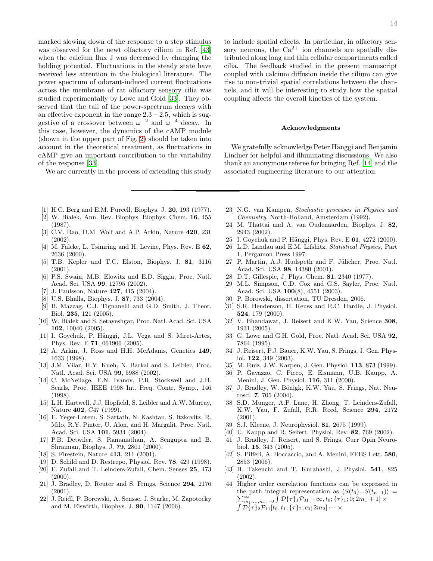marked slowing down of the response to a step stimulus was observed for the newt olfactory cilium in Ref. [\[43](#page-13-34)] when the calcium flux J was decreased by changing the holding potential. Fluctuations in the steady state have received less attention in the biological literature. The power spectrum of odorant-induced current fluctuations across the membrane of rat olfactory sensory cilia was studied experimentally by Lowe and Gold [\[33](#page-13-35)]. They observed that the tail of the power-spectrum decays with an effective exponent in the range  $2.3 - 2.5$ , which is suggestive of a crossover between  $\omega^{-2}$  and  $\omega^{-4}$  decay. In this case, however, the dynamics of the cAMP module (shown in the upper part of Fig. [2\)](#page-1-1) should be taken into account in the theoretical treatment, as fluctuations in cAMP give an important contribution to the variability of the response [\[33\]](#page-13-35).

We are currently in the process of extending this study

to include spatial effects. In particular, in olfactory sensory neurons, the  $Ca^{2+}$  ion channels are spatially distributed along long and thin cellular compartments called cilia. The feedback studied in the present manuscript coupled with calcium diffusion inside the cilium can give rise to non-trivial spatial correlations between the channels, and it will be interesting to study how the spatial coupling affects the overall kinetics of the system.

#### Acknowledgments

We gratefully acknowledge Peter Hänggi and Benjamin Lindner for helpful and illuminating discussions. We also thank an anonymous referee for bringing Ref. [\[14\]](#page-13-13) and the associated engineering literature to our attention.

- <span id="page-13-0"></span>[1] H.C. Berg and E.M. Purcell, Biophys. J. 20, 193 (1977).
- <span id="page-13-1"></span>[2] W. Bialek, Ann. Rev. Biophys. Biophys. Chem. 16, 455 (1987).
- <span id="page-13-2"></span>[3] C.V. Rao, D.M. Wolf and A.P. Arkin, Nature 420, 231  $(2002)$ .
- <span id="page-13-3"></span>[4] M. Falcke, L. Tsimring and H. Levine, Phys. Rev. E 62, 2636 (2000).
- <span id="page-13-4"></span>[5] T.B. Kepler and T.C. Elston, Biophys. J. 81, 3116 (2001).
- <span id="page-13-5"></span>[6] P.S. Swain, M.B. Elowitz and E.D. Siggia, Proc. Natl. Acad. Sci. USA 99, 12795 (2002).
- <span id="page-13-6"></span>J. Paulsson, Nature 427, 415 (2004).
- <span id="page-13-7"></span>[8] U.S. Bhalla, Biophys. J. 87, 733 (2004).
- <span id="page-13-8"></span>[9] B. Mazzag, C.J. Tignanelli and G.D. Smith, J. Theor. Biol. 235, 121 (2005).
- <span id="page-13-9"></span>[10] W. Bialek and S. Setayeshgar, Proc. Natl. Acad. Sci. USA 102, 10040 (2005).
- <span id="page-13-10"></span>[11] I. Goychuk, P. Hänggi, J.L. Vega and S. Miret-Artes, Phys. Rev. E 71, 061906 (2005).
- <span id="page-13-11"></span>[12] A. Arkin, J. Ross and H.H. McAdams, Genetics 149, 1633 (1998).
- <span id="page-13-12"></span>[13] J.M. Vilar, H.Y. Kueh, N. Barkai and S. Leibler, Proc. Natl. Acad. Sci. USA 99, 5988 (2002).
- <span id="page-13-13"></span>[14] C. McNeilage, E.N. Ivanov, P.R. Stockwell and J.H. Searls, Proc. IEEE 1998 Int. Freq. Contr. Symp., 146 (1998).
- <span id="page-13-14"></span>[15] L.H. Hartwell, J.J. Hopfield, S. Leibler and A.W. Murray, Nature 402, C47 (1999).
- <span id="page-13-15"></span>[16] E. Yeger-Lotem, S. Sattath, N. Kashtan, S. Itzkovitz, R. Milo, R.Y. Pinter, U. Alon, and H. Margalit, Proc. Natl. Acad. Sci. USA 101, 5934 (2004).
- <span id="page-13-16"></span>[17] P.B. Detwiler, S. Ramanathan, A. Sengupta and B. Shraiman, Biophys. J. 79, 2801 (2000).
- <span id="page-13-17"></span>[18] S. Firestein, Nature **413**, 211 (2001).
- <span id="page-13-18"></span>[19] D. Schild and D. Restrepo, Physiol. Rev. 78, 429 (1998).
- <span id="page-13-19"></span>[20] F. Zufall and T. Leinders-Zufall, Chem. Senses 25, 473  $(2000)$ .
- <span id="page-13-20"></span>[21] J. Bradley, D. Reuter and S. Frings, Science 294, 2176 (2001).
- <span id="page-13-21"></span>[22] J. Reidl, P. Borowski, A. Sensse, J. Starke, M. Zapotocky and M. Eiswirth, Biophys. J. 90, 1147 (2006).
- <span id="page-13-22"></span>[23] N.G. van Kampen, Stochastic processes in Physics and Chemistry, North-Holland, Amsterdam (1992).
- <span id="page-13-23"></span>[24] M. Thattai and A. van Oudenaarden, Biophys. J. 82, 2943 (2002).
- <span id="page-13-24"></span>[25] I. Goychuk and P. Hänggi, Phys. Rev. E  $61$ ,  $4272$  (2000).
- <span id="page-13-26"></span>[26] L.D. Landau and E.M. Lifshitz, Statistical Physics, Part 1, Pergamon Press 1997.
- <span id="page-13-27"></span>[27] P. Martin, A.J. Hudspeth and F. Jülicher, Proc. Natl. Acad. Sci. USA 98, 14380 (2001).
- <span id="page-13-36"></span>[28] D.T. Gillespie, J. Phys. Chem. 81, 2340 (1977).
- <span id="page-13-28"></span>[29] M.L. Simpson, C.D. Cox and G.S. Sayler, Proc. Natl. Acad. Sci. USA 100(8), 4551 (2003).
- <span id="page-13-29"></span>[30] P. Borowski, dissertation, TU Dresden, 2006.
- <span id="page-13-33"></span>[31] S.R. Henderson, H. Reuss and R.C. Hardie, J. Physiol. 524, 179 (2000).
- <span id="page-13-32"></span>[32] V. Bhandawat, J. Reisert and K.W. Yau, Science 308, 1931 (2005).
- <span id="page-13-35"></span>[33] G. Lowe and G.H. Gold, Proc. Natl. Acad. Sci. USA 92, 7864 (1995).
- <span id="page-13-37"></span>[34] J. Reisert, P.J. Bauer, K.W. Yau, S. Frings, J. Gen. Physiol. 122, 349 (2003).
- <span id="page-13-38"></span>[35] M. Ruiz, J.W. Karpen, J. Gen. Physiol. 113, 873 (1999).
- <span id="page-13-39"></span>[36] P. Gavazzo, C. Picco, E. Eismann, U.B. Kaupp, A. Menini, J. Gen. Physiol. 116, 311 (2000).
- <span id="page-13-42"></span>[37] J. Bradley, W. Bönigk, K.W. Yau, S. Frings, Nat. Neurosci. 7, 705 (2004).
- [38] S.D. Munger, A.P. Lane, H. Zhong, T. Leinders-Zufall, K.W. Yau, F. Zufall, R.R. Reed, Science 294, 2172 (2001).
- <span id="page-13-41"></span>[39] S.J. Kleene, J. Neurophysiol. 81, 2675 (1999).
- <span id="page-13-40"></span>[40] U. Kaupp and R. Seifert, Physiol. Rev. 82, 769 (2002).
- <span id="page-13-30"></span>[41] J. Bradley, J. Reisert, and S. Frings, Curr Opin Neurobiol. 15, 343 (2005).
- <span id="page-13-31"></span>[42] S. Pifferi, A. Boccaccio, and A. Menini, FEBS Lett. **580**, 2853 (2006).
- <span id="page-13-34"></span>[43] H. Takeuchi and T. Kurahashi, J Physiol. 541, 825 (2002).
- <span id="page-13-25"></span>[44] Higher order correlation functions can be expressed in  $\sum_{m_1,...,m_n=0}^{\infty} \int {\cal D}\{\tau\}_1{\cal P}_{01}[-\infty,t_0;\{\tau\}_1;0;2m_1+1]\times$ the path integral representation as  $\langle S(t_0)...S(t_{n-1})\rangle$  $\int {\cal D}\{\tau\}_2 {\cal P}_{11}[t_0, t_1; \{\tau\}_2; c_0; 2m_2] \cdots \times$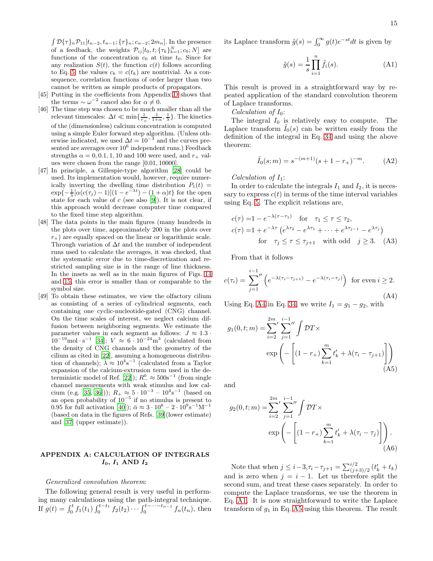$\int \mathcal{D}\{\tau\}_n \mathcal{P}_{11}[t_{n-2}, t_{n-1}; {\tau \}_n; c_{n-2}; 2m_n].$  In the presence of a feedback, the weights  $\mathcal{P}_{ij}[t_0, t; \{\tau_k\}_{k=1}^N; c_0; N]$  are functions of the concentration  $c_0$  at time  $t_0$ . Since for any realization  $S(t)$ , the function  $c(t)$  follows according to Eq. [5,](#page-2-3) the values  $c_k = c(t_k)$  are nontrivial. As a consequence, correlation functions of order larger than two cannot be written as simple products of propagators.

- <span id="page-14-2"></span>[45] Putting in the coefficients from Appendix [D](#page-17-0) shows that the terms  $\sim \omega^{-2}$  cancel also for  $\alpha \neq 0$ .
- <span id="page-14-3"></span>[46] The time step was chosen to be much smaller than all the relevant timescales:  $\Delta t \ll \min\{\frac{1}{r_+}, \frac{1}{1+\alpha}, \frac{1}{\lambda}\}\.$  The kinetics of the (dimensionless) calcium concentration is computed using a simple Euler forward step algorithm. (Unless otherwise indicated, we used  $\Delta t = 10^{-3}$  and the curves presented are averages over  $10^6$  independent runs.) Feedback strengths  $\alpha = 0, 0.1, 1, 10$  and 100 were used, and  $r_{+}$  values were chosen from the range [0.01, 10000].
- <span id="page-14-4"></span>[47] In principle, a Gillespie-type algorithm [\[28](#page-13-36)] could be used. Its implementation would, however, require numerically inverting the dwelling time distribution  $P_1(t)$  =  $\exp\{-\frac{1}{\lambda}[\alpha(c(\tau_j)-1)](1-e^{-\lambda t})-(1+\alpha)t\}$  for the open state for each value of  $c$  (see also [\[9](#page-13-8)]). It is not clear, if this approach would decrease computer time compared to the fixed time step algorithm.
- <span id="page-14-5"></span>[48] The data points in the main figures (many hundreds in the plots over time, approximately 200 in the plots over  $r_{+}$ ) are equally spaced on the linear or logarithmic scale. Through variation of  $\Delta t$  and the number of independent runs used to calculate the averages, it was checked, that the systematic error due to time-discretization and restricted sampling size is in the range of line thickness. In the insets as well as in the main figures of Figs. [14](#page-11-1) and [15,](#page-12-1) this error is smaller than or comparable to the symbol size.
- <span id="page-14-6"></span>[49] To obtain these estimates, we view the olfactory cilium as consisting of a series of cylindrical segments, each containing one cyclic-nucleotide-gated (CNG) channel. On the time scales of interest, we neglect calcium diffusion between neighboring segments. We estimate the parameter values in each segment as follows:  $J \approx 1.3$  $10^{-19}$ mol · s<sup>-1</sup> [\[34](#page-13-37)];  $V \approx 6 \cdot 10^{-24}$ m<sup>3</sup> (calculated from the density of CNG channels and the geometry of the cilium as cited in [\[22](#page-13-21)], assuming a homogeneous distribution of channels);  $\bar{\lambda} \approx 10^4$ s<sup>-1</sup> (calculated from a Taylor expansion of the calcium-extrusion term used in the de-terministic model of Ref. [\[22](#page-13-21)]);  $R_-^0 \approx 500s^{-1}$  (from single channel measurements with weak stimulus and low cal-cium (e.g. [\[35](#page-13-38), [36](#page-13-39)]));  $R_+ \approx 5 \cdot 10^{-3} - 10^4$ s<sup>-1</sup> (based on an open probability of  $10^{-5}$  if no stimulus is present to 0.95 for full activation [\[40\]](#page-13-40));  $\bar{\alpha} \approx 3 \cdot 10^8 - 2 \cdot 10^9 \text{s}^{-1} \text{M}^{-1}$ (based on data in the figures of Refs. [\[39\]](#page-13-41)(lower estimate) and [\[37](#page-13-42)] (upper estimate)).

# <span id="page-14-1"></span>APPENDIX A: CALCULATION OF INTEGRALS  $I_0$ ,  $I_1$  AND  $I_2$

## Generalized convolution theorem:

The following general result is very useful in performing many calculations using the path-integral technique. If  $g(t) = \int_0^t f_1(t_1) \int_0^{t-t_1} f_2(t_2) \cdots \int_0^{t-\cdots-t_{n-1}} f_n(t_n)$ , then its Laplace transform  $\tilde{g}(s) = \int_0^\infty g(t)e^{-st}dt$  is given by

<span id="page-14-0"></span>
$$
\tilde{g}(s) = \frac{1}{s} \prod_{i=1}^{n} \tilde{f}_i(s).
$$
\n(A1)

This result is proved in a straightforward way by repeated application of the standard convolution theorem of Laplace transforms.

Calculation of  $I_0$ :

The integral  $I_0$  is relatively easy to compute. The Laplace transform  $I_0(s)$  can be written easily from the definition of the integral in Eq. [34](#page-5-4) and using the above theorem:

<span id="page-14-9"></span>
$$
\tilde{I}_0(s;m) = s^{-(m+1)}(s+1-r_+)^{-m}.
$$
 (A2)

## Calculation of  $I_1$ :

In order to calculate the integrals  $I_1$  and  $I_2$ , it is necessary to express  $c(t)$  in terms of the time interval variables using Eq. [5.](#page-2-3) The explicit relations are,

$$
c(\tau) = 1 - e^{-\lambda(\tau - \tau_1)} \quad \text{for} \quad \tau_1 \le \tau \le \tau_2,
$$
  
\n
$$
c(\tau) = 1 + e^{-\lambda \tau} \left( e^{\lambda \tau_2} - e^{\lambda \tau_1} + \dots + e^{\lambda \tau_{j-1}} - e^{\lambda \tau_j} \right)
$$
  
\nfor  $\tau_j \le \tau \le \tau_{j+1}$  with odd  $j \ge 3$ . (A3)

From that it follows

<span id="page-14-7"></span>
$$
c(\tau_i) = \sum_{j=1}^{i-1} \left( e^{-\lambda(\tau_i - \tau_{j+1})} - e^{-\lambda(\tau_i - \tau_j)} \right) \text{ for even } i \ge 2.
$$
\n(A4)

Using Eq. [A4](#page-14-7) in Eq. [34,](#page-5-4) we write  $I_1 = g_1 - g_2$ , with

$$
g_1(0, t; m) = \sum_{i=2}^{2m} \sum_{j=1}^{i-1} \int \mathcal{D}T \times
$$
  
exp $\left(-\left[(1 - r_+)\sum_{k=1}^{m} t'_k + \lambda(\tau_i - \tau_{j+1})\right]\right)$  (A5)

and

<span id="page-14-8"></span>
$$
g_2(0, t; m) = \sum_{i=2}^{2m} \sum_{j=1}^{i-1} \int \mathcal{D}T \times \exp\left(-\left[(1 - r_+)\sum_{k=1}^m t'_k + \lambda(\tau_i - \tau_j)\right]\right).
$$
(A6)

Note that when  $j \leq i-3, \tau_i - \tau_{j+1} = \sum_{j=1}^{i/2} (t'_k + t_k)$ and is zero when  $j = i - 1$ . Let us therefore split the second sum, and treat these cases separately. In order to compute the Laplace transforms, we use the theorem in Eq. [A1.](#page-14-0) It is now straightforward to write the Laplace transform of  $g_1$  in Eq. [A5](#page-14-8) using this theorem. The result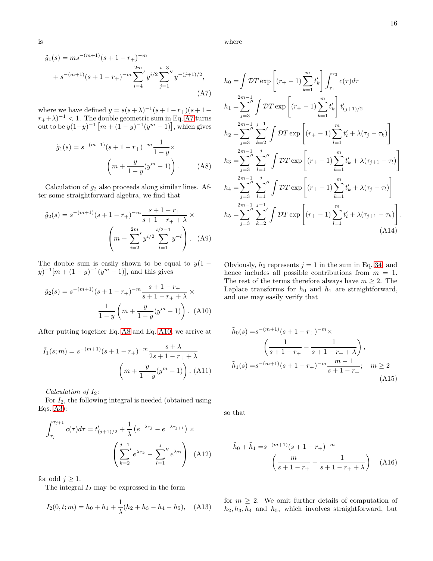1

1

.

 $t'_l + \lambda(\tau_j - \tau_k)$ 

 $t'_{k} + \lambda(\tau_{j+1} - \tau_{l})$ 

where

<span id="page-15-0"></span>
$$
\sum_{j=1}^{i-3} y^{-(j+1)/2}, \qquad h_0 = \int \mathcal{D}T \exp\left[ (r_+ - 1) \sum_{k=1}^m t'_k \right] \int_{\tau_1}^{\tau_2} c(\tau) d\tau
$$
\n
$$
(A7) \qquad \qquad 2m-1
$$
\n
$$
(A8)
$$
\n
$$
= \sum_{j=3}^{2m-1} \int \mathcal{D}T \exp\left[ (r_+ - 1) \sum_{k=1}^m t'_k \right] t'_{(j+1)/2}
$$
\n
$$
\lim_{i \to -1} \text{ in Eq. A7 turns}
$$
\n
$$
h_2 = \sum_{j=3}^{2m-1} \sum_{k=2}^{j-1} \int \mathcal{D}T \exp\left[ (r_+ - 1) \sum_{l=1}^m t'_l + \lambda (r_+ - 1) \right] \exp\left[ (r_+ - 1) \sum_{l=1}^m t'_l + \lambda (r_+ - 1) \right].
$$
\n
$$
= \sum_{j=3}^{2m-1} \sum_{l=1}^j \int \mathcal{D}T \exp\left[ (r_+ - 1) \sum_{k=1}^m t'_k + \lambda (r_+ - 1) \right] \exp\left[ (r_+ - 1) \sum_{k=1}^m t'_k + \lambda (r_+ - 1) \right].
$$

<span id="page-15-1"></span>
$$
h_4 = \sum_{j=3}^{2m-1} \sum_{l=1}^{j} \int \mathcal{D}T \exp\left[ (r_+ - 1) \sum_{k=1}^{m} t'_k + \lambda(\tau_j - \tau_l) \right]
$$
  
\n
$$
h_5 = \sum_{j=3}^{2m-1} \sum_{k=2}^{j-1} \int \mathcal{D}T \exp\left[ (r_+ - 1) \sum_{l=1}^{m} t'_l + \lambda(\tau_{j+1} - \tau_k) \right]
$$
  
\n(A14)

Obviously,  $h_0$  represents  $j = 1$  in the sum in Eq. [34,](#page-5-4) and hence includes all possible contributions from  $m = 1$ . The rest of the terms therefore always have  $m \geq 2$ . The Laplace transforms for  $h_0$  and  $h_1$  are straightforward, and one may easily verify that

$$
\tilde{h}_0(s) = s^{-(m+1)}(s+1-r_+)^{-m} \times \left(\frac{1}{s+1-r_+} - \frac{1}{s+1-r_++\lambda}\right),
$$
\n
$$
\tilde{h}_1(s) = s^{-(m+1)}(s+1-r_+)^{-m} \frac{m-1}{s+1-r_+}; \quad m \ge 2
$$
\n(A15)

so that

$$
\tilde{h}_0 + \tilde{h}_1 = s^{-(m+1)}(s+1-r_+)^{-m}
$$
\n
$$
\left(\frac{m}{s+1-r_+} - \frac{1}{s+1-r_+ + \lambda}\right) \quad (A16)
$$

for  $m \geq 2$ . We omit further details of computation of  $h_2, h_3, h_4$  and  $h_5$ , which involves straightforward, but

$$
\tilde{g}_1(s) = m s^{-(m+1)} (s+1-r_+)^{-m}
$$
  
+  $s^{-(m+1)} (s+1-r_+)^{-m} \sum_{i=4}^{2m} y^{i/2} \sum_{j=1}^{i-3} y^{-(j+1)/2},$   
(A7)

where we have defined  $y = s(s + \lambda)^{-1}$  $(s+1-r<sub>+</sub>)(s+1 (r_+ + \lambda)^{-1} < 1$ . The double geometric sum in Eq. [A7](#page-15-0) turns out to be  $y(1-y)^{-1} [m + (1-y)^{-1}(y^m - 1)]$ 

$$
\tilde{g}_1(s) = s^{-(m+1)}(s+1-r_+)^{-m} \frac{1}{1-y} \times \left(m + \frac{y}{1-y}(y^m - 1)\right).
$$
 (A8)

Calculation of  $g_2$  also proceeds along similar lines. After some straightforward algebra, we find that

$$
\tilde{g}_2(s) = s^{-(m+1)}(s+1-r_+)^{-m} \frac{s+1-r_+}{s+1-r_+ + \lambda} \times \left( m + \sum_{i=2}^{2m} y^{i/2} \sum_{l=1}^{i/2-1} y^{-l} \right). \tag{A9}
$$

The double sum is easily shown to be equal to  $y(1 (y)^{-1}[m + (1 - y)^{-1}(y^m - 1)],$  and this gives

<span id="page-15-2"></span>
$$
\tilde{g}_2(s) = s^{-(m+1)}(s+1-r_+)^{-m} \frac{s+1-r_+}{s+1-r_+ + \lambda} \times \frac{1}{1-y} \left( m + \frac{y}{1-y} (y^m - 1) \right). \tag{A10}
$$

After putting together Eq. [A8](#page-15-1) and Eq. [A10,](#page-15-2) we arrive at

$$
\tilde{I}_1(s;m) = s^{-(m+1)}(s+1-r_+)^{-m} \frac{s+\lambda}{2s+1-r_+ + \lambda}
$$

$$
\left(m + \frac{y}{1-y}(y^m - 1)\right). \tag{A11}
$$

Calculation of  $I_2$ :

For  $I_2$ , the following integral is needed (obtained using Eqs. [A3\)](#page-14-9):

$$
\int_{\tau_j}^{\tau_{j+1}} c(\tau) d\tau = t'_{(j+1)/2} + \frac{1}{\lambda} \left( e^{-\lambda \tau_j} - e^{-\lambda \tau_{j+1}} \right) \times \left( \sum_{k=2}^{j-1} e^{\lambda \tau_k} - \sum_{l=1}^j'' e^{\lambda \tau_l} \right) (A12)
$$

for odd  $j \geq 1$ .

The integral  $I_2$  may be expressed in the form

$$
I_2(0, t; m) = h_0 + h_1 + \frac{1}{\lambda}(h_2 + h_3 - h_4 - h_5), \quad \text{(A13)}
$$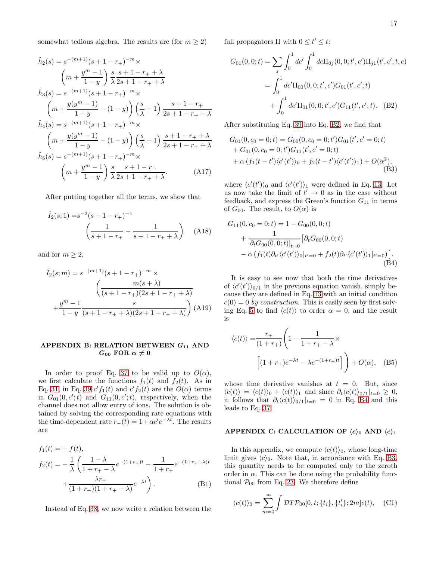somewhat tedious algebra. The results are (for  $m \geq 2$ )

$$
\tilde{h}_2(s) = s^{-(m+1)}(s+1-r_+)^{-m} \times
$$
\n
$$
\left(m + \frac{y^m - 1}{1 - y}\right) \frac{s}{\lambda} \frac{s+1-r_+ + \lambda}{2s+1-r_+ + \lambda}
$$
\n
$$
\tilde{h}_3(s) = s^{-(m+1)}(s+1-r_+)^{-m} \times
$$
\n
$$
\left(m + \frac{y(y^m - 1)}{1 - y} - (1 - y)\right) \left(\frac{s}{\lambda} + 1\right) \frac{s+1-r_+}{2s+1-r_+ + \lambda}
$$
\n
$$
\tilde{h}_4(s) = s^{-(m+1)}(s+1-r_+)^{-m} \times
$$
\n
$$
\left(m + \frac{y(y^m - 1)}{1 - y} - (1 - y)\right) \left(\frac{s}{\lambda} + 1\right) \frac{s+1-r_+ + \lambda}{2s+1-r_+ + \lambda}
$$
\n
$$
\tilde{h}_5(s) = s^{-(m+1)}(s+1-r_+)^{-m} \times
$$
\n
$$
\left(m + \frac{y^m - 1}{1 - y}\right) \frac{s}{\lambda} \frac{s+1-r_+}{2s+1-r_+ + \lambda}.
$$
\n(A17)

After putting together all the terms, we show that

$$
\tilde{I}_2(s; 1) = s^{-2}(s + 1 - r_+)^{-1}
$$
\n
$$
\left(\frac{1}{s + 1 - r_+} - \frac{1}{s + 1 - r_+ + \lambda}\right) \quad (A18)
$$

and for  $m \geq 2$ ,

$$
\tilde{I}_2(s;m) = s^{-(m+1)}(s+1-r_+)^{-m} \times \left(\frac{m(s+\lambda)}{(s+1-r_+)(2s+1-r_++\lambda)} + \frac{y^m - 1}{1-y} \frac{s}{(s+1-r_++\lambda)(2s+1-r_++\lambda)}\right)
$$
(A19)

# <span id="page-16-0"></span>APPENDIX B: RELATION BETWEEN  $G_{11}$  AND  $G_{00}$  FOR  $\alpha \neq 0$

In order to proof Eq. [37](#page-5-0) to be valid up to  $O(\alpha)$ , we first calculate the functions  $f_1(t)$  and  $f_2(t)$ . As in Eq. [31,](#page-4-9) in Eq. [39](#page-6-4)  $c' f_1(t)$  and  $c' f_2(t)$  are the  $O(\alpha)$  terms in  $G_{01}(0, c';t)$  and  $G_{11}(0, c';t)$ , respectively, when the channel does not allow entry of ions. The solution is obtained by solving the corresponding rate equations with the time-dependent rate  $r_-(t) = 1 + \alpha c' e^{-\lambda t}$ . The results are

$$
f_1(t) = - f(t),
$$
  
\n
$$
f_2(t) = -\frac{1}{\lambda} \left( \frac{1 - \lambda}{1 + r_+ - \lambda} e^{-(1+r_+)t} - \frac{1}{1 + r_+} e^{-(1+r_+ + \lambda)t} + \frac{\lambda r_+}{(1 + r_+)(1 + r_+ - \lambda)} e^{-\lambda t} \right).
$$
\n(B1)

Instead of Eq. [38,](#page-5-2) we now write a relation between the

full propagators  $\Pi$  with  $0 \le t' \le t$ :

$$
G_{01}(0,0;t) = \sum_{j} \int_{0}^{1} dc' \int_{0}^{1} dc \Pi_{0j}(0,0;t',c')\Pi_{j1}(t',c';t,c)
$$

$$
= \int_{0}^{1} dc'\Pi_{00}(0,0;t',c')G_{01}(t',c';t)
$$

$$
+ \int_{0}^{1} dc'\Pi_{01}(0,0;t',c')G_{11}(t',c';t). \quad (B2)
$$

After substituting Eq. [39](#page-6-4) into Eq. [B2,](#page-16-3) we find that

<span id="page-16-5"></span><span id="page-16-3"></span>
$$
G_{01}(0, c_0 = 0; t) = G_{00}(0, c_0 = 0; t')G_{01}(t', c' = 0; t)
$$
  
+ 
$$
G_{01}(0, c_0 = 0; t')G_{11}(t', c' = 0; t)
$$
  
+ 
$$
\alpha (f_1(t - t')\langle c'(t')\rangle_0 + f_2(t - t')\langle c'(t')\rangle_1) + O(\alpha^2),
$$
  
(B3)

where  $\langle c'(t')\rangle_0$  and  $\langle c'(t')\rangle_1$  were defined in Eq. [13.](#page-3-6) Let us now take the limit of  $t' \to 0$  as in the case without feedback, and express the Green's function  $G_{11}$  in terms of  $G_{00}$ . The result, to  $O(\alpha)$  is

<span id="page-16-4"></span>
$$
G_{11}(0, c_0 = 0; t) = 1 - G_{00}(0, 0; t)
$$
  
+ 
$$
\frac{1}{\partial_t G_{00}(0, 0; t)|_{t=0}} \left[ \partial_t G_{00}(0, 0; t) - \alpha \left( f_1(t) \partial_{t'} \langle c'(t') \rangle_0 |_{t'=0} + f_2(t) \partial_{t'} \langle c'(t') \rangle_1 |_{t'=0} \right) \right].
$$
  
(B4)

It is easy to see now that both the time derivatives of  $\langle c'(t') \rangle_{0/1}$  in the previous equation vanish, simply because they are defined in Eq. [13](#page-3-6) with an initial condition  $c(0) = 0$  by construction. This is easily seen by first solv-ing Eq. [5](#page-2-3) to find  $\langle c(t) \rangle$  to order  $\alpha = 0$ , and the result is

$$
\langle c(t) \rangle = \frac{r_+}{(1+r_+)} \left( 1 - \frac{1}{1+r_+ - \lambda} \times \left[ (1+r_+)e^{-\lambda t} - \lambda e^{-(1+r_+)t} \right] \right) + O(\alpha), \quad (B5)
$$

whose time derivative vanishes at  $t = 0$ . But, since  $\langle c(t)\rangle = \langle c(t)\rangle_0 + \langle c(t)\rangle_1$  and since  $\partial_t \langle c(t)\rangle_0/1|_{t=0} \geq 0$ , it follows that  $\partial_t \langle c(t) \rangle_{0/1}|_{t=0} = 0$  in Eq. [B4](#page-16-4) and this leads to Eq. [37.](#page-5-0)

# <span id="page-16-2"></span>APPENDIX C: CALCULATION OF  $\langle c \rangle_0$  AND  $\langle c \rangle_1$

In this appendix, we compute  $\langle c(t) \rangle_0$ , whose long-time limit gives  $\langle c \rangle_0$ . Note that, in accordance with Eq. [B3,](#page-16-5) this quantity needs to be computed only to the zeroth order in  $\alpha$ . This can be done using the probability functional  $\mathcal{P}_{00}$  from Eq. [23.](#page-4-4) We therefore define

<span id="page-16-1"></span>
$$
\langle c(t) \rangle_0 = \sum_{m=0}^{\infty} \int \mathcal{D}T \mathcal{P}_{00}[0, t; \{t_i\}, \{t'_i\}; 2m]c(t), \quad \text{(C1)}
$$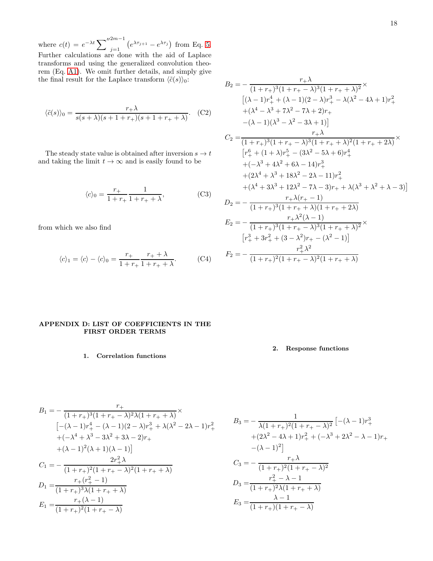where  $c(t) = e^{-\lambda t} \sum_{j=1}^{\prime \prime 2m-1} \left( e^{\lambda \tau_{j+1}} - e^{\lambda \tau_j} \right)$  from Eq. [5.](#page-2-3) Further calculations are done with the aid of Laplace transforms and using the generalized convolution theorem (Eq. [A1\)](#page-14-0). We omit further details, and simply give the final result for the Laplace transform  $\langle \tilde{c}(s) \rangle_0$ :

$$
\langle \tilde{c}(s) \rangle_0 = \frac{r_+ \lambda}{s(s + \lambda)(s + 1 + r_+)(s + 1 + r_+ + \lambda)}.
$$
 (C2)

The steady state value is obtained after inversion  $s \to t$ and taking the limit  $t \to \infty$  and is easily found to be

$$
\langle c \rangle_0 = \frac{r_+}{1 + r_+} \frac{1}{1 + r_+ + \lambda},\tag{C3}
$$

from which we also find

$$
\langle c \rangle_1 = \langle c \rangle - \langle c \rangle_0 = \frac{r_+}{1 + r_+} \frac{r_+ + \lambda}{1 + r_+ + \lambda}.
$$
 (C4)

$$
B_2 = -\frac{r_+ \lambda}{(1 + r_+)^3 (1 + r_+ - \lambda)^3 (1 + r_+ + \lambda)^2} \times
$$
  
\n
$$
[(\lambda - 1)r_+^4 + (\lambda - 1)(2 - \lambda)r_+^3 - \lambda(\lambda^2 - 4\lambda + 1)r_+^2
$$
\n
$$
+(\lambda^4 - \lambda^3 + 7\lambda^2 - 7\lambda + 2)r_+
$$
\n
$$
-(\lambda - 1)(\lambda^3 - \lambda^2 - 3\lambda + 1)]
$$
\n
$$
C_2 = \frac{r_+ \lambda}{(1 + r_+)^3 (1 + r_+ - \lambda)^3 (1 + r_+ + \lambda)^2 (1 + r_+ + 2\lambda)} \times
$$
\n
$$
[r_+^6 + (1 + \lambda)r_+^5 - (3\lambda^2 - 5\lambda + 6)r_+^4
$$
\n
$$
+(\lambda^3 + 4\lambda^2 + 6\lambda - 14)r_+^3
$$
\n
$$
+(2\lambda^4 + \lambda^3 + 18\lambda^2 - 2\lambda - 11)r_+^2
$$
\n
$$
+(\lambda^4 + 3\lambda^3 + 12\lambda^2 - 7\lambda - 3)r_+ + \lambda(\lambda^3 + \lambda^2 + \lambda - 3)]
$$
\n
$$
D_2 = -\frac{r_+ \lambda(r_+ - 1)}{(1 + r_+)^3 (1 + r_+ + \lambda)(1 + r_+ + 2\lambda)}
$$
\n
$$
E_2 = -\frac{r_+ \lambda^2(\lambda - 1)}{(1 + r_+)^3 (1 + r_+ - \lambda)^3 (1 + r_+ + \lambda)^2} \times
$$
\n
$$
[r_+^3 + 3r_+^2 + (3 - \lambda^2)r_+ - (\lambda^2 - 1)]
$$
\n
$$
F_2 = -\frac{r_+ \lambda^2}{(1 + r_+)^2 (1 + r_+ - \lambda)^2 (1 + r_+ + \lambda)}
$$

# <span id="page-17-0"></span>APPENDIX D: LIST OF COEFFICIENTS IN THE FIRST ORDER TERMS

1. Correlation functions

2. Response functions

$$
B_1 = -\frac{r_+}{(1+r_+)^3(1+r_+ - \lambda)^2\lambda(1+r_+ + \lambda)} \times
$$
  
\n
$$
[-(\lambda - 1)r_+^4 - (\lambda - 1)(2 - \lambda)r_+^3 + \lambda(\lambda^2 - 2\lambda - 1)r_+^2 + (-\lambda^4 + \lambda^3 - 3\lambda^2 + 3\lambda - 2)r_+ + (\lambda - 1)^2(\lambda + 1)(\lambda - 1)]
$$
  
\n
$$
C_1 = -\frac{2r_+^2\lambda}{(1+r_+)^2(1+r_+ - \lambda)^2(1+r_+ + \lambda)}
$$
  
\n
$$
D_1 = \frac{r_+(r_+^2 - 1)}{(1+r_+)^3\lambda(1+r_+ + \lambda)}
$$
  
\n
$$
E_1 = \frac{r_+(\lambda - 1)}{(1+r_+)^2(1+r_+ - \lambda)}
$$

$$
B_3 = -\frac{1}{\lambda(1+r_+)^2(1+r_+-\lambda)^2} \left[ -(\lambda-1)r_+^3 + (2\lambda^2 - 4\lambda + 1)r_+^2 + (-\lambda^3 + 2\lambda^2 - \lambda - 1)r_+ - (\lambda-1)^2 \right]
$$
  

$$
C_3 = -\frac{r_+ \lambda}{(1+r_+)^2(1+r_+-\lambda)^2}
$$
  

$$
D_3 = \frac{r_+^2 - \lambda - 1}{(1+r_+)^2\lambda(1+r_++\lambda)}
$$
  

$$
E_3 = \frac{\lambda-1}{(1+r_+)(1+r_+-\lambda)}
$$